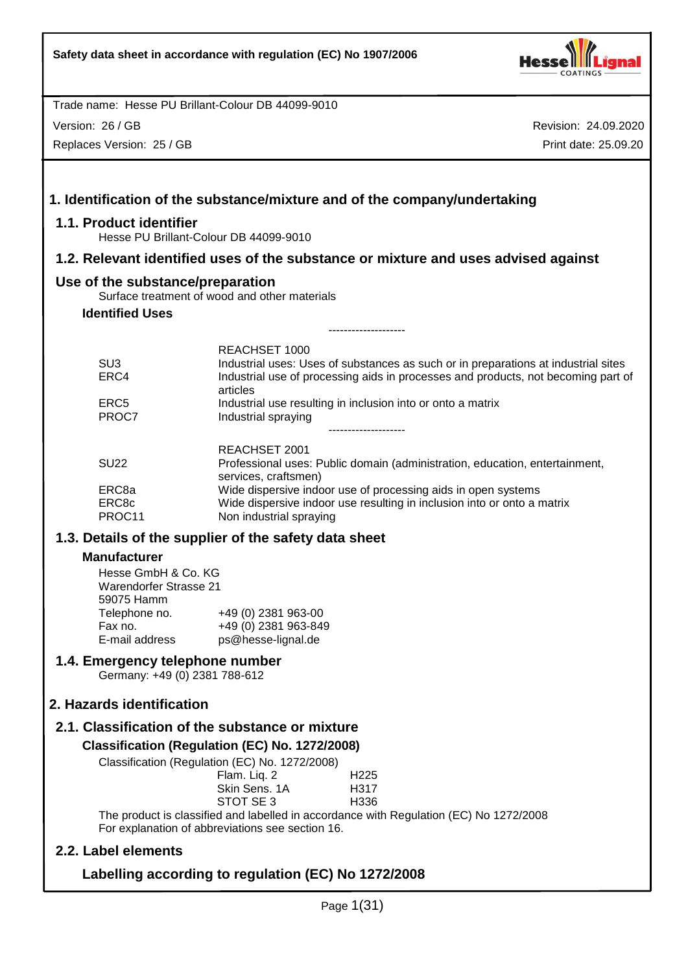

Version: 26 / GB

Replaces Version: 25 / GB

| 1.1. Product identifier                                            | 1. Identification of the substance/mixture and of the company/undertaking                                                                                                           |
|--------------------------------------------------------------------|-------------------------------------------------------------------------------------------------------------------------------------------------------------------------------------|
|                                                                    | Hesse PU Brillant-Colour DB 44099-9010                                                                                                                                              |
|                                                                    | 1.2. Relevant identified uses of the substance or mixture and uses advised against                                                                                                  |
| Use of the substance/preparation                                   | Surface treatment of wood and other materials                                                                                                                                       |
| <b>Identified Uses</b>                                             | --------------------                                                                                                                                                                |
|                                                                    | <b>REACHSET 1000</b>                                                                                                                                                                |
| SU <sub>3</sub><br>ERC4                                            | Industrial uses: Uses of substances as such or in preparations at industrial sites<br>Industrial use of processing aids in processes and products, not becoming part of<br>articles |
| ERC <sub>5</sub><br>PROC7                                          | Industrial use resulting in inclusion into or onto a matrix<br>Industrial spraying                                                                                                  |
| <b>SU22</b>                                                        | REACHSET 2001<br>Professional uses: Public domain (administration, education, entertainment,<br>services, craftsmen)                                                                |
| ERC8a<br>ERC8c<br>PROC11                                           | Wide dispersive indoor use of processing aids in open systems<br>Wide dispersive indoor use resulting in inclusion into or onto a matrix<br>Non industrial spraying                 |
|                                                                    | 1.3. Details of the supplier of the safety data sheet                                                                                                                               |
| <b>Manufacturer</b>                                                |                                                                                                                                                                                     |
| Hesse GmbH & Co. KG<br><b>Warendorfer Strasse 21</b><br>59075 Hamm |                                                                                                                                                                                     |
| Telephone no.                                                      | +49 (0) 2381 963-00                                                                                                                                                                 |
| Fax no.<br>E-mail address                                          | +49 (0) 2381 963-849<br>ps@hesse-lignal.de                                                                                                                                          |
| 1.4. Emergency telephone number<br>Germany: +49 (0) 2381 788-612   |                                                                                                                                                                                     |
| 2. Hazards identification                                          |                                                                                                                                                                                     |
|                                                                    | 2.1. Classification of the substance or mixture                                                                                                                                     |
|                                                                    | Classification (Regulation (EC) No. 1272/2008)                                                                                                                                      |
|                                                                    | Classification (Regulation (EC) No. 1272/2008)<br>Flam. Liq. 2<br>H <sub>225</sub><br>Skin Sens. 1A<br>H317<br>STOT SE 3<br>H336                                                    |
|                                                                    | The product is classified and labelled in accordance with Regulation (EC) No 1272/2008<br>For explanation of abbreviations see section 16.                                          |
| 2.2. Label elements                                                |                                                                                                                                                                                     |
|                                                                    | Labelling according to regulation (EC) No 1272/2008                                                                                                                                 |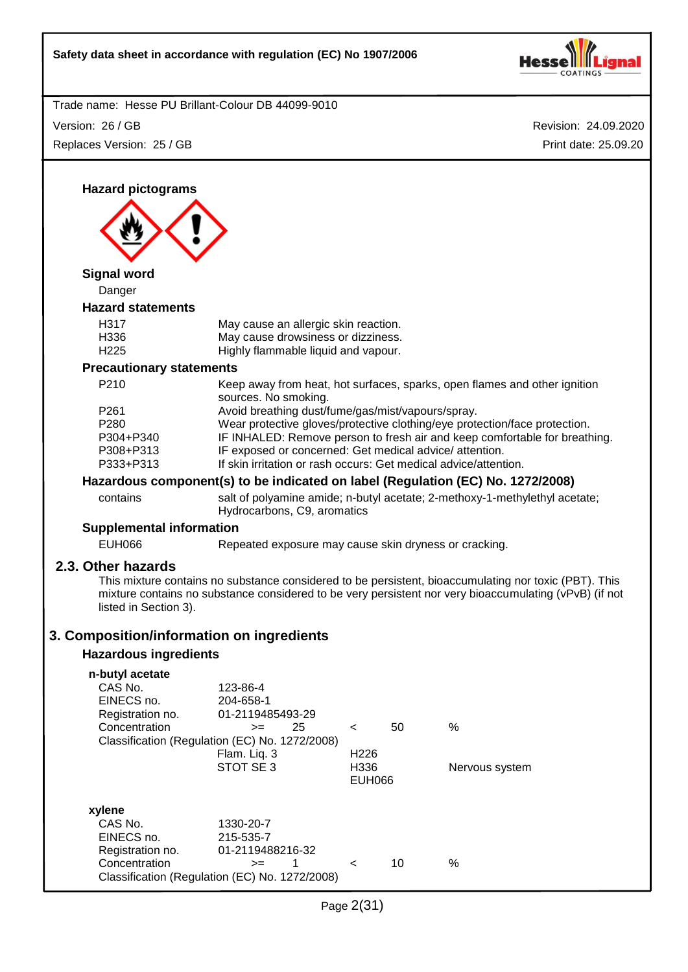

Version: 26 / GB Replaces Version: 25 / GB

Revision: 24.09.2020 Print date: 25.09.20

**Hazard pictograms Signal word** Danger **Hazard statements** H317 May cause an allergic skin reaction. H336 May cause drowsiness or dizziness. H225 Highly flammable liquid and vapour. **Precautionary statements** P210 Keep away from heat, hot surfaces, sparks, open flames and other ignition sources. No smoking. P261 Avoid breathing dust/fume/gas/mist/vapours/spray. P280 Wear protective gloves/protective clothing/eye protection/face protection. P304+P340 IF INHALED: Remove person to fresh air and keep comfortable for breathing. P308+P313 IF exposed or concerned: Get medical advice/ attention. P333+P313 If skin irritation or rash occurs: Get medical advice/attention. **Hazardous component(s) to be indicated on label (Regulation (EC) No. 1272/2008)** contains salt of polyamine amide; n-butyl acetate; 2-methoxy-1-methylethyl acetate; Hydrocarbons, C9, aromatics **Supplemental information** EUH066 Repeated exposure may cause skin dryness or cracking. **2.3. Other hazards** This mixture contains no substance considered to be persistent, bioaccumulating nor toxic (PBT). This mixture contains no substance considered to be very persistent nor very bioaccumulating (vPvB) (if not listed in Section 3). **3. Composition/information on ingredients Hazardous ingredients n-butyl acetate** 123-86-4<br>204-658-1 EINECS no.<br>Registration no. 01-2119485493-29  $\text{Concentration}$   $\text{>=}$  25 < 50 % Classification (Regulation (EC) No. 1272/2008) Flam. Liq. 3 H226 STOT SE 3 H336 Nervous system EUH066 **xylene** CAS No. 1330-20-7 EINECS no. 215-535-7 Registration no. 01-2119488216-32 Concentration  $\rightarrow$  1 < 10 % Classification (Regulation (EC) No. 1272/2008)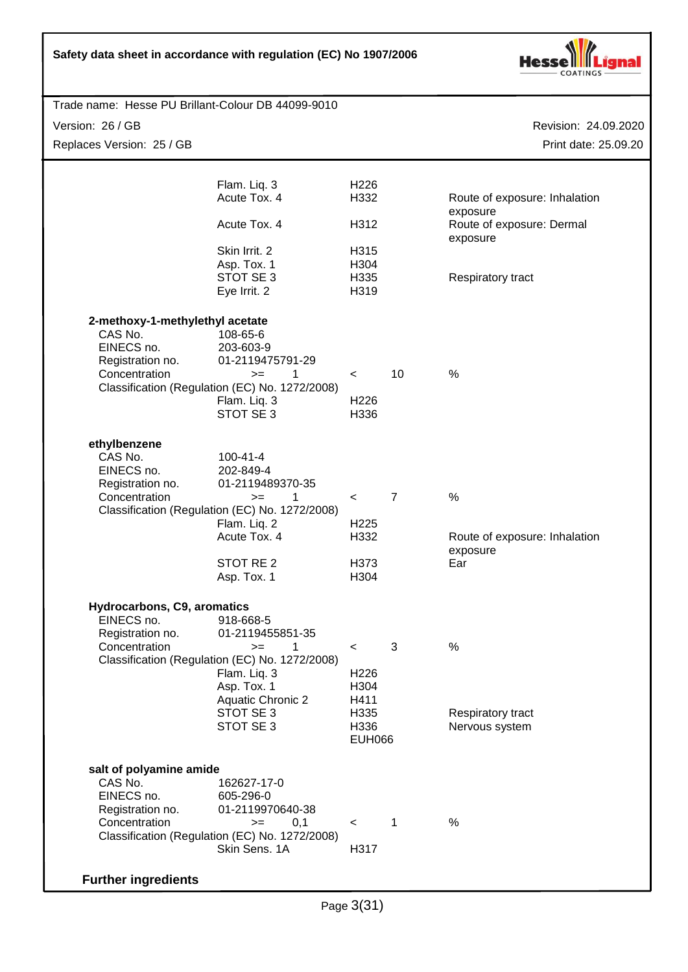

| Trade name: Hesse PU Brillant-Colour DB 44099-9010                 |                          |                |                                       |
|--------------------------------------------------------------------|--------------------------|----------------|---------------------------------------|
| Version: 26 / GB                                                   |                          |                | Revision: 24.09.2020                  |
| Replaces Version: 25 / GB                                          |                          |                | Print date: 25.09.20                  |
|                                                                    |                          |                |                                       |
| Flam. Liq. 3                                                       | H <sub>226</sub>         |                |                                       |
| Acute Tox. 4                                                       | H332                     |                | Route of exposure: Inhalation         |
| Acute Tox. 4                                                       | H312                     |                | exposure<br>Route of exposure: Dermal |
|                                                                    |                          |                | exposure                              |
| Skin Irrit. 2<br>Asp. Tox. 1                                       | H315<br>H304             |                |                                       |
| STOT SE3                                                           | H335                     |                | Respiratory tract                     |
| Eye Irrit. 2                                                       | H319                     |                |                                       |
| 2-methoxy-1-methylethyl acetate                                    |                          |                |                                       |
| CAS No.<br>108-65-6                                                |                          |                |                                       |
| EINECS no.<br>203-603-9                                            |                          |                |                                       |
| Registration no.<br>01-2119475791-29<br>Concentration<br>1<br>$>=$ | $\,<\,$                  | 10             | %                                     |
| Classification (Regulation (EC) No. 1272/2008)                     |                          |                |                                       |
| Flam. Liq. 3                                                       | H226                     |                |                                       |
| STOT SE 3                                                          | H336                     |                |                                       |
| ethylbenzene                                                       |                          |                |                                       |
| CAS No.<br>$100 - 41 - 4$                                          |                          |                |                                       |
| EINECS no.<br>202-849-4<br>Registration no.<br>01-2119489370-35    |                          |                |                                       |
| Concentration<br>1<br>$>=$                                         | $\prec$                  | $\overline{7}$ | $\%$                                  |
| Classification (Regulation (EC) No. 1272/2008)                     |                          |                |                                       |
| Flam. Liq. 2<br>Acute Tox. 4                                       | H <sub>225</sub><br>H332 |                | Route of exposure: Inhalation         |
|                                                                    |                          |                | exposure                              |
| STOT RE <sub>2</sub>                                               | H373                     |                | Ear                                   |
| Asp. Tox. 1                                                        | H304                     |                |                                       |
| Hydrocarbons, C9, aromatics                                        |                          |                |                                       |
| EINECS no.<br>918-668-5                                            |                          |                |                                       |
| Registration no.<br>01-2119455851-35<br>Concentration<br>$>=$<br>1 | $\,<\,$                  | 3              | $\%$                                  |
| Classification (Regulation (EC) No. 1272/2008)                     |                          |                |                                       |
| Flam. Liq. 3                                                       | H <sub>226</sub>         |                |                                       |
| Asp. Tox. 1<br><b>Aquatic Chronic 2</b>                            | H304<br>H411             |                |                                       |
| STOT SE 3                                                          | H335                     |                | Respiratory tract                     |
| STOT SE 3                                                          | H336                     |                | Nervous system                        |
|                                                                    | <b>EUH066</b>            |                |                                       |
| salt of polyamine amide                                            |                          |                |                                       |
| CAS No.<br>162627-17-0<br>EINECS no.<br>605-296-0                  |                          |                |                                       |
| 01-2119970640-38<br>Registration no.                               |                          |                |                                       |
| Concentration<br>$>=$                                              | 0,1<br>$\,<\,$           | 1              | %                                     |
| Classification (Regulation (EC) No. 1272/2008)<br>Skin Sens. 1A    | H317                     |                |                                       |
|                                                                    |                          |                |                                       |
| <b>Further ingredients</b>                                         |                          |                |                                       |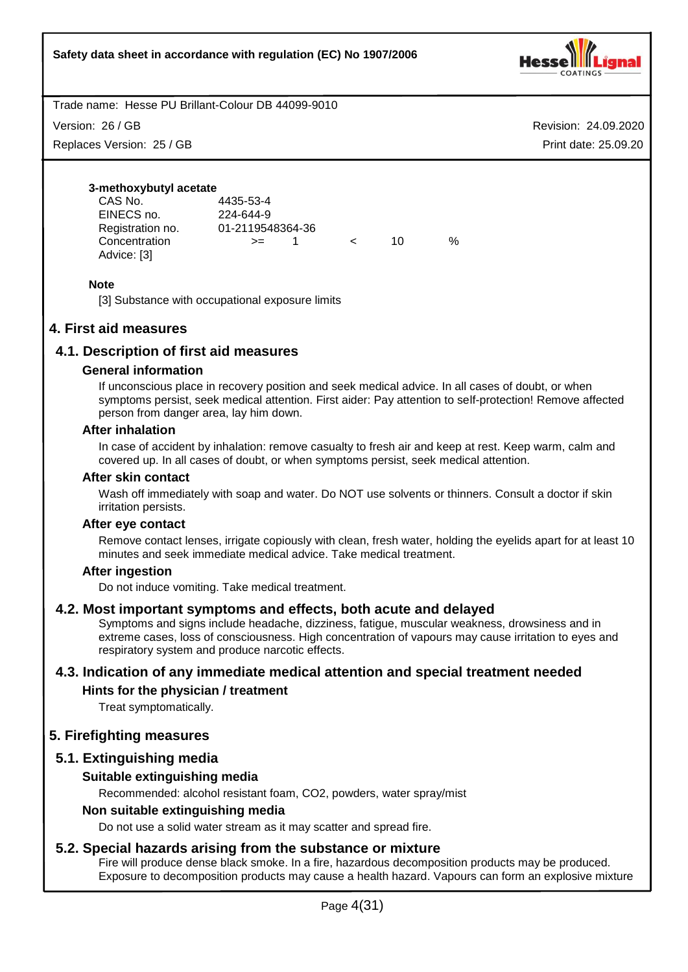

Version: 26 / GB

Replaces Version: 25 / GB

Revision: 24.09.2020 Print date: 25.09.20

#### **3-methoxybutyl acetate**

| CAS No.          | 4435-53-4        |            |    |   |
|------------------|------------------|------------|----|---|
| EINECS no.       | 224-644-9        |            |    |   |
| Registration no. | 01-2119548364-36 |            |    |   |
| Concentration    | $>=$             | $\epsilon$ | 10 | % |
| Advice: [3]      |                  |            |    |   |

### **Note**

[3] Substance with occupational exposure limits

# **4. First aid measures**

# **4.1. Description of first aid measures**

#### **General information**

If unconscious place in recovery position and seek medical advice. In all cases of doubt, or when symptoms persist, seek medical attention. First aider: Pay attention to self-protection! Remove affected person from danger area, lay him down.

#### **After inhalation**

In case of accident by inhalation: remove casualty to fresh air and keep at rest. Keep warm, calm and covered up. In all cases of doubt, or when symptoms persist, seek medical attention.

#### **After skin contact**

Wash off immediately with soap and water. Do NOT use solvents or thinners. Consult a doctor if skin irritation persists.

#### **After eye contact**

Remove contact lenses, irrigate copiously with clean, fresh water, holding the eyelids apart for at least 10 minutes and seek immediate medical advice. Take medical treatment.

#### **After ingestion**

Do not induce vomiting. Take medical treatment.

#### **4.2. Most important symptoms and effects, both acute and delayed**

Symptoms and signs include headache, dizziness, fatigue, muscular weakness, drowsiness and in extreme cases, loss of consciousness. High concentration of vapours may cause irritation to eyes and respiratory system and produce narcotic effects.

# **4.3. Indication of any immediate medical attention and special treatment needed**

# **Hints for the physician / treatment**

Treat symptomatically.

# **5. Firefighting measures**

# **5.1. Extinguishing media**

#### **Suitable extinguishing media**

Recommended: alcohol resistant foam, CO2, powders, water spray/mist

#### **Non suitable extinguishing media**

Do not use a solid water stream as it may scatter and spread fire.

#### **5.2. Special hazards arising from the substance or mixture**

Fire will produce dense black smoke. In a fire, hazardous decomposition products may be produced. Exposure to decomposition products may cause a health hazard. Vapours can form an explosive mixture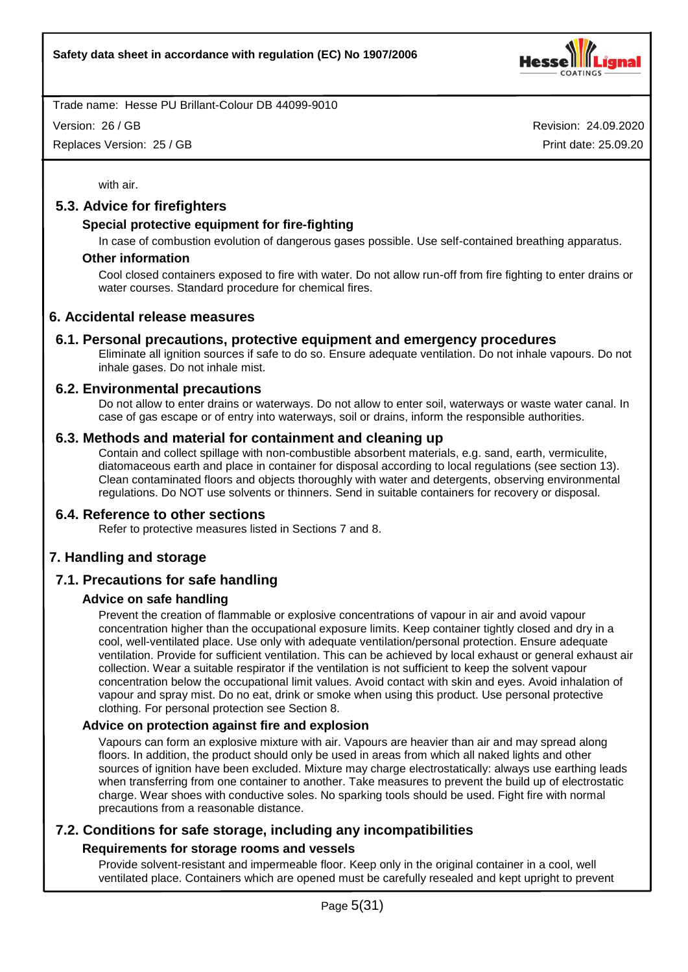

Version: 26 / GB

Replaces Version: 25 / GB

Revision: 24.09.2020 Print date: 25.09.20

with air.

## **5.3. Advice for firefighters**

#### **Special protective equipment for fire-fighting**

In case of combustion evolution of dangerous gases possible. Use self-contained breathing apparatus.

#### **Other information**

Cool closed containers exposed to fire with water. Do not allow run-off from fire fighting to enter drains or water courses. Standard procedure for chemical fires.

#### **6. Accidental release measures**

#### **6.1. Personal precautions, protective equipment and emergency procedures**

Eliminate all ignition sources if safe to do so. Ensure adequate ventilation. Do not inhale vapours. Do not inhale gases. Do not inhale mist.

#### **6.2. Environmental precautions**

Do not allow to enter drains or waterways. Do not allow to enter soil, waterways or waste water canal. In case of gas escape or of entry into waterways, soil or drains, inform the responsible authorities.

#### **6.3. Methods and material for containment and cleaning up**

Contain and collect spillage with non-combustible absorbent materials, e.g. sand, earth, vermiculite, diatomaceous earth and place in container for disposal according to local regulations (see section 13). Clean contaminated floors and objects thoroughly with water and detergents, observing environmental regulations. Do NOT use solvents or thinners. Send in suitable containers for recovery or disposal.

#### **6.4. Reference to other sections**

Refer to protective measures listed in Sections 7 and 8.

# **7. Handling and storage**

# **7.1. Precautions for safe handling**

#### **Advice on safe handling**

Prevent the creation of flammable or explosive concentrations of vapour in air and avoid vapour concentration higher than the occupational exposure limits. Keep container tightly closed and dry in a cool, well-ventilated place. Use only with adequate ventilation/personal protection. Ensure adequate ventilation. Provide for sufficient ventilation. This can be achieved by local exhaust or general exhaust air collection. Wear a suitable respirator if the ventilation is not sufficient to keep the solvent vapour concentration below the occupational limit values. Avoid contact with skin and eyes. Avoid inhalation of vapour and spray mist. Do no eat, drink or smoke when using this product. Use personal protective clothing. For personal protection see Section 8.

#### **Advice on protection against fire and explosion**

Vapours can form an explosive mixture with air. Vapours are heavier than air and may spread along floors. In addition, the product should only be used in areas from which all naked lights and other sources of ignition have been excluded. Mixture may charge electrostatically: always use earthing leads when transferring from one container to another. Take measures to prevent the build up of electrostatic charge. Wear shoes with conductive soles. No sparking tools should be used. Fight fire with normal precautions from a reasonable distance.

# **7.2. Conditions for safe storage, including any incompatibilities**

#### **Requirements for storage rooms and vessels**

Provide solvent-resistant and impermeable floor. Keep only in the original container in a cool, well ventilated place. Containers which are opened must be carefully resealed and kept upright to prevent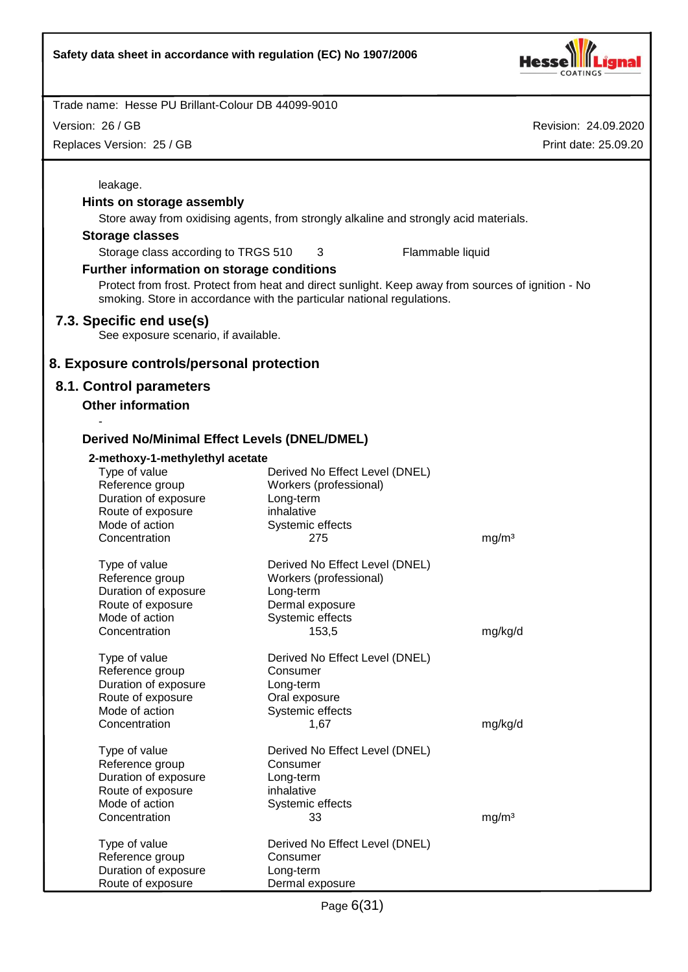

Revision: 24.09.2020 Trade name: Hesse PU Brillant-Colour DB 44099-9010 Print date: 25.09.20 Version: 26 / GB Replaces Version: 25 / GB leakage. **Hints on storage assembly** Store away from oxidising agents, from strongly alkaline and strongly acid materials. **Storage classes** Storage class according to TRGS 510 3 Flammable liquid **Further information on storage conditions** Protect from frost. Protect from heat and direct sunlight. Keep away from sources of ignition - No smoking. Store in accordance with the particular national regulations. **7.3. Specific end use(s)** See exposure scenario, if available. **8. Exposure controls/personal protection 8.1. Control parameters Other information** - **Derived No/Minimal Effect Levels (DNEL/DMEL) 2-methoxy-1-methylethyl acetate** Type of value Derived No Effect Level (DNEL) Reference group Workers (professional) Duration of exposure Long-term Route of exposure inhalative Mode of action Systemic effects Concentration 275 mg/m<sup>3</sup> Type of value Derived No Effect Level (DNEL) Reference group Workers (professional) Duration of exposure Long-term Route of exposure **Dermal exposure** Mode of action Systemic effects Concentration 153,5 mg/kg/d Type of value Derived No Effect Level (DNEL) Reference group Consumer Duration of exposure Long-term Route of exposure **Caleman Constant Constant Constant** Mode of action Systemic effects Concentration 1,67 mg/kg/d Type of value Derived No Effect Level (DNEL) Reference group Consumer Duration of exposure Long-term Route of exposure inhalative Mode of action Systemic effects Concentration 33 mg/m<sup>3</sup> Type of value Derived No Effect Level (DNEL) Reference group Consumer Duration of exposure Long-term Route of exposure **Dermal exposure**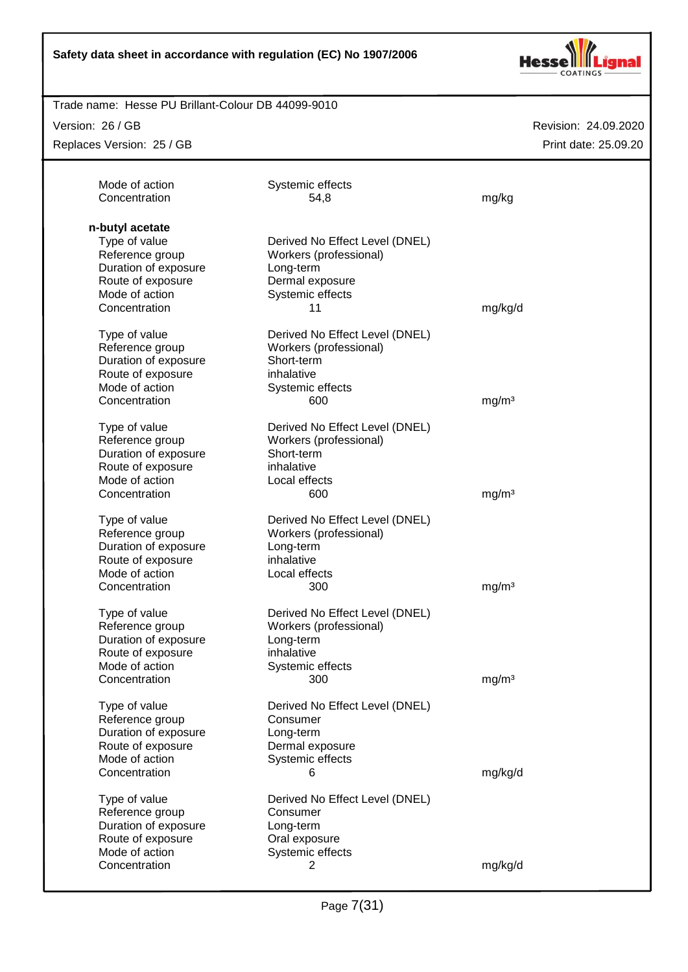

#### Trade name: Hesse PU Brillant-Colour DB 44099-9010

Version: 26 / GB

Replaces Version: 25 / GB

| Mode of action<br>Concentration | Systemic effects<br>54,8       | mg/kg             |
|---------------------------------|--------------------------------|-------------------|
| n-butyl acetate                 |                                |                   |
| Type of value                   | Derived No Effect Level (DNEL) |                   |
| Reference group                 | Workers (professional)         |                   |
| Duration of exposure            | Long-term                      |                   |
| Route of exposure               | Dermal exposure                |                   |
| Mode of action                  | Systemic effects               |                   |
| Concentration                   | 11                             | mg/kg/d           |
| Type of value                   | Derived No Effect Level (DNEL) |                   |
| Reference group                 | Workers (professional)         |                   |
| Duration of exposure            | Short-term                     |                   |
| Route of exposure               | inhalative                     |                   |
| Mode of action                  | Systemic effects               |                   |
| Concentration                   | 600                            | mg/m <sup>3</sup> |
|                                 |                                |                   |
| Type of value                   | Derived No Effect Level (DNEL) |                   |
| Reference group                 | Workers (professional)         |                   |
| Duration of exposure            | Short-term                     |                   |
| Route of exposure               | inhalative                     |                   |
| Mode of action                  | Local effects                  |                   |
| Concentration                   | 600                            | mg/m <sup>3</sup> |
| Type of value                   | Derived No Effect Level (DNEL) |                   |
| Reference group                 | Workers (professional)         |                   |
| Duration of exposure            | Long-term                      |                   |
| Route of exposure               | inhalative                     |                   |
| Mode of action                  | Local effects                  |                   |
| Concentration                   | 300                            | mg/m <sup>3</sup> |
| Type of value                   | Derived No Effect Level (DNEL) |                   |
| Reference group                 | Workers (professional)         |                   |
| Duration of exposure            | Long-term                      |                   |
| Route of exposure               | inhalative                     |                   |
| Mode of action                  | Systemic effects               |                   |
| Concentration                   | 300                            | mq/m <sup>3</sup> |
| Type of value                   | Derived No Effect Level (DNEL) |                   |
| Reference group                 | Consumer                       |                   |
| Duration of exposure            | Long-term                      |                   |
| Route of exposure               | Dermal exposure                |                   |
| Mode of action                  | Systemic effects               |                   |
| Concentration                   | 6                              | mg/kg/d           |
| Type of value                   | Derived No Effect Level (DNEL) |                   |
| Reference group                 | Consumer                       |                   |
| Duration of exposure            | Long-term                      |                   |
| Route of exposure               | Oral exposure                  |                   |
| Mode of action                  | Systemic effects               |                   |
|                                 |                                | mg/kg/d           |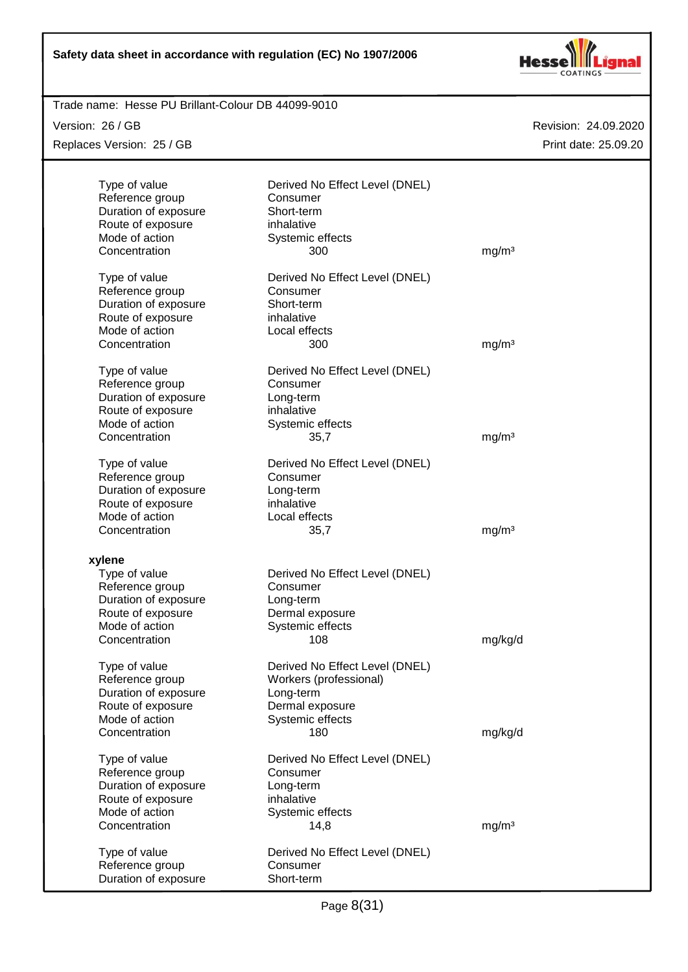

#### Revision: 24.09.2020 Trade name: Hesse PU Brillant-Colour DB 44099-9010 Print date: 25.09.20 Version: 26 / GB Replaces Version: 25 / GB Type of value Derived No Effect Level (DNEL) Reference group Consumer Duration of exposure Short-term Route of exposure inhalative Mode of action Systemic effects Concentration 300 mg/m<sup>3</sup> Type of value Derived No Effect Level (DNEL) Reference group Consumer Duration of exposure Short-term Route of exposure inhalative Mode of action **Local effects** Concentration 300 mg/m<sup>3</sup> Type of value Derived No Effect Level (DNEL) Reference group Consumer Duration of exposure Long-term Route of exposure inhalative Mode of action Systemic effects Concentration 35,7 mg/m<sup>3</sup> Type of value Derived No Effect Level (DNEL) Reference group Consumer Duration of exposure Long-term Route of exposure inhalative Mode of action **Local effects** Concentration 35,7 mg/m<sup>3</sup> **xylene** Type of value Derived No Effect Level (DNEL) Reference group Consumer Duration of exposure Long-term Route of exposure **Dermal exposure**<br>
Mode of action **Derman Systemic effects** Systemic effects Concentration 108 mg/kg/d Type of value Derived No Effect Level (DNEL) Reference group Workers (professional) Duration of exposure Long-term Route of exposure **Dermal** exposure Mode of action Systemic effects Concentration 180 mg/kg/d Type of value Derived No Effect Level (DNEL) Reference group Consumer Duration of exposure **Long-term** Route of exposure inhalative Mode of action Systemic effects Concentration 14,8 mg/m<sup>3</sup> Type of value Derived No Effect Level (DNEL) Reference group entitle consumer<br>
Duration of exposure Short-term Duration of exposure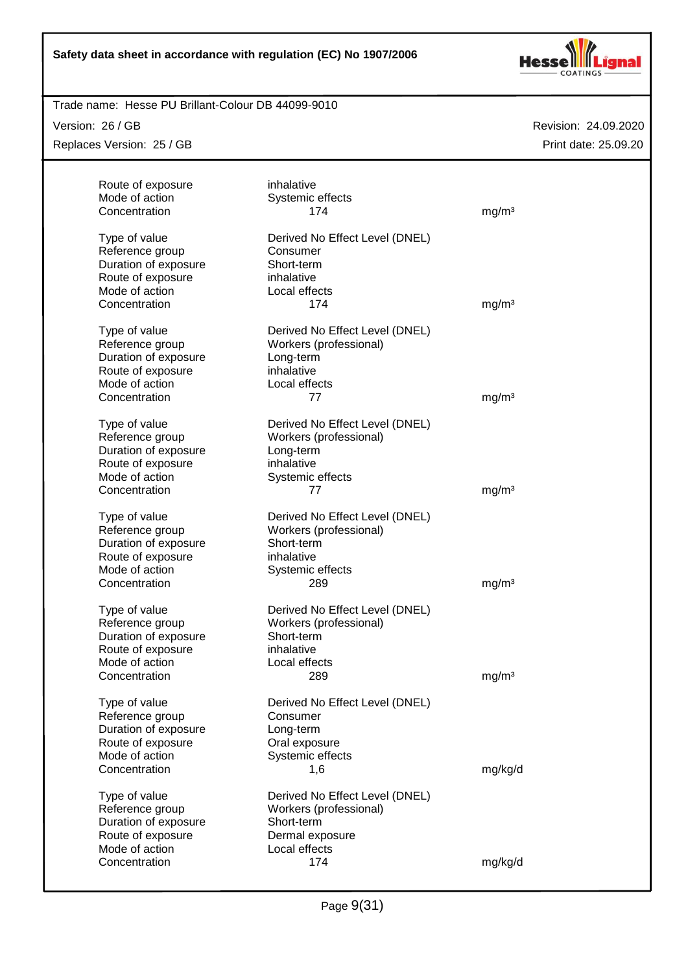

#### Trade name: Hesse PU Brillant-Colour DB 44099-9010

Version: 26 / GB

Replaces Version: 25 / GB

| Route of exposure<br>Mode of action<br>Concentration | inhalative<br>Systemic effects<br>174      | mg/m <sup>3</sup> |
|------------------------------------------------------|--------------------------------------------|-------------------|
|                                                      |                                            |                   |
| Type of value<br>Reference group                     | Derived No Effect Level (DNEL)<br>Consumer |                   |
| Duration of exposure                                 | Short-term                                 |                   |
| Route of exposure                                    | inhalative                                 |                   |
| Mode of action                                       | Local effects                              |                   |
| Concentration                                        | 174                                        | mg/m <sup>3</sup> |
| Type of value                                        | Derived No Effect Level (DNEL)             |                   |
| Reference group                                      | Workers (professional)                     |                   |
| Duration of exposure                                 | Long-term                                  |                   |
| Route of exposure                                    | inhalative                                 |                   |
| Mode of action                                       | Local effects                              |                   |
| Concentration                                        | 77                                         | mg/m <sup>3</sup> |
| Type of value                                        | Derived No Effect Level (DNEL)             |                   |
| Reference group                                      | Workers (professional)                     |                   |
| Duration of exposure                                 | Long-term                                  |                   |
| Route of exposure                                    | inhalative                                 |                   |
| Mode of action                                       | Systemic effects                           |                   |
| Concentration                                        | 77                                         | mg/m <sup>3</sup> |
| Type of value                                        | Derived No Effect Level (DNEL)             |                   |
| Reference group                                      | Workers (professional)                     |                   |
| Duration of exposure                                 | Short-term                                 |                   |
| Route of exposure                                    | inhalative                                 |                   |
| Mode of action                                       | Systemic effects                           |                   |
| Concentration                                        | 289                                        | mg/m <sup>3</sup> |
| Type of value                                        | Derived No Effect Level (DNEL)             |                   |
| Reference group                                      | Workers (professional)                     |                   |
| Duration of exposure                                 | Short-term                                 |                   |
| Route of exposure                                    | inhalative                                 |                   |
| Mode of action                                       | Local effects                              |                   |
| Concentration                                        | 289                                        | mg/m <sup>3</sup> |
| Type of value                                        | Derived No Effect Level (DNEL)             |                   |
| Reference group                                      | Consumer                                   |                   |
| Duration of exposure                                 | Long-term                                  |                   |
| Route of exposure                                    | Oral exposure                              |                   |
| Mode of action                                       | Systemic effects                           |                   |
| Concentration                                        | 1,6                                        | mg/kg/d           |
| Type of value                                        | Derived No Effect Level (DNEL)             |                   |
| Reference group                                      | Workers (professional)                     |                   |
| Duration of exposure                                 | Short-term                                 |                   |
| Route of exposure                                    | Dermal exposure                            |                   |
| Mode of action                                       | Local effects                              |                   |
| Concentration                                        | 174                                        | mg/kg/d           |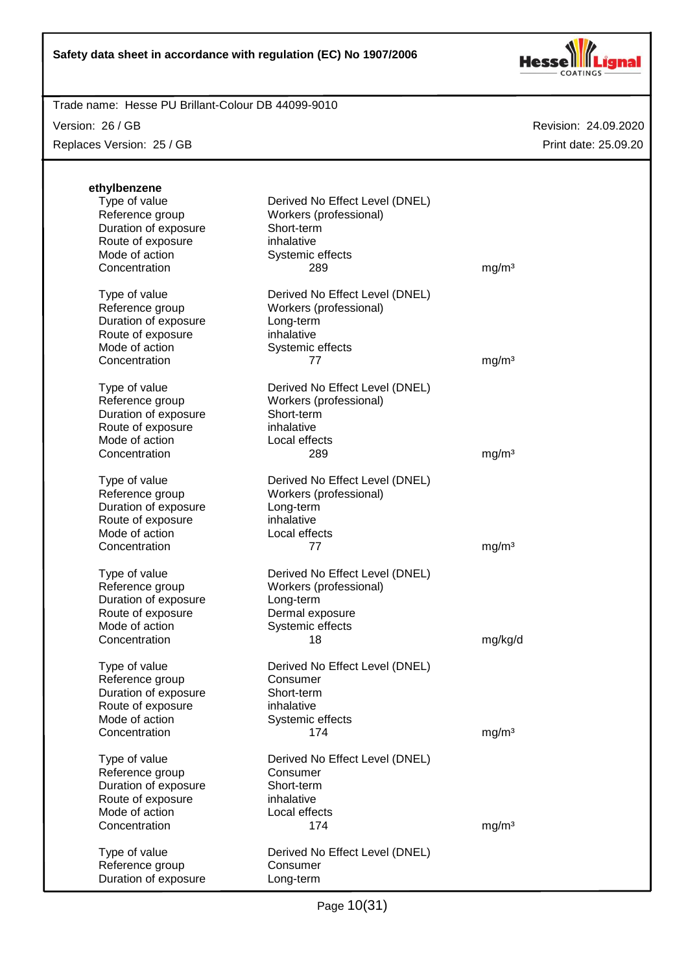

#### Trade name: Hesse PU Brillant-Colour DB 44099-9010

Version: 26 / GB

Replaces Version: 25 / GB

| ethylbenzene<br>Type of value<br>Reference group<br>Duration of exposure<br>Route of exposure<br>Mode of action<br>Concentration | Derived No Effect Level (DNEL)<br>Workers (professional)<br>Short-term<br>inhalative<br>Systemic effects<br>289    | mg/m <sup>3</sup> |
|----------------------------------------------------------------------------------------------------------------------------------|--------------------------------------------------------------------------------------------------------------------|-------------------|
| Type of value<br>Reference group<br>Duration of exposure<br>Route of exposure<br>Mode of action<br>Concentration                 | Derived No Effect Level (DNEL)<br>Workers (professional)<br>Long-term<br>inhalative<br>Systemic effects<br>77      | mg/m <sup>3</sup> |
| Type of value<br>Reference group<br>Duration of exposure<br>Route of exposure<br>Mode of action<br>Concentration                 | Derived No Effect Level (DNEL)<br>Workers (professional)<br>Short-term<br>inhalative<br>Local effects<br>289       | mg/m <sup>3</sup> |
| Type of value<br>Reference group<br>Duration of exposure<br>Route of exposure<br>Mode of action<br>Concentration                 | Derived No Effect Level (DNEL)<br>Workers (professional)<br>Long-term<br>inhalative<br>Local effects<br>77         | mg/m <sup>3</sup> |
| Type of value<br>Reference group<br>Duration of exposure<br>Route of exposure<br>Mode of action<br>Concentration                 | Derived No Effect Level (DNEL)<br>Workers (professional)<br>Long-term<br>Dermal exposure<br>Systemic effects<br>18 | mg/kg/d           |
| Type of value<br>Reference group<br>Duration of exposure<br>Route of exposure<br>Mode of action<br>Concentration                 | Derived No Effect Level (DNEL)<br>Consumer<br>Short-term<br>inhalative<br>Systemic effects<br>174                  | mg/m <sup>3</sup> |
| Type of value<br>Reference group<br>Duration of exposure<br>Route of exposure<br>Mode of action<br>Concentration                 | Derived No Effect Level (DNEL)<br>Consumer<br>Short-term<br>inhalative<br>Local effects<br>174                     | mg/m <sup>3</sup> |
| Type of value<br>Reference group<br>Duration of exposure                                                                         | Derived No Effect Level (DNEL)<br>Consumer<br>Long-term                                                            |                   |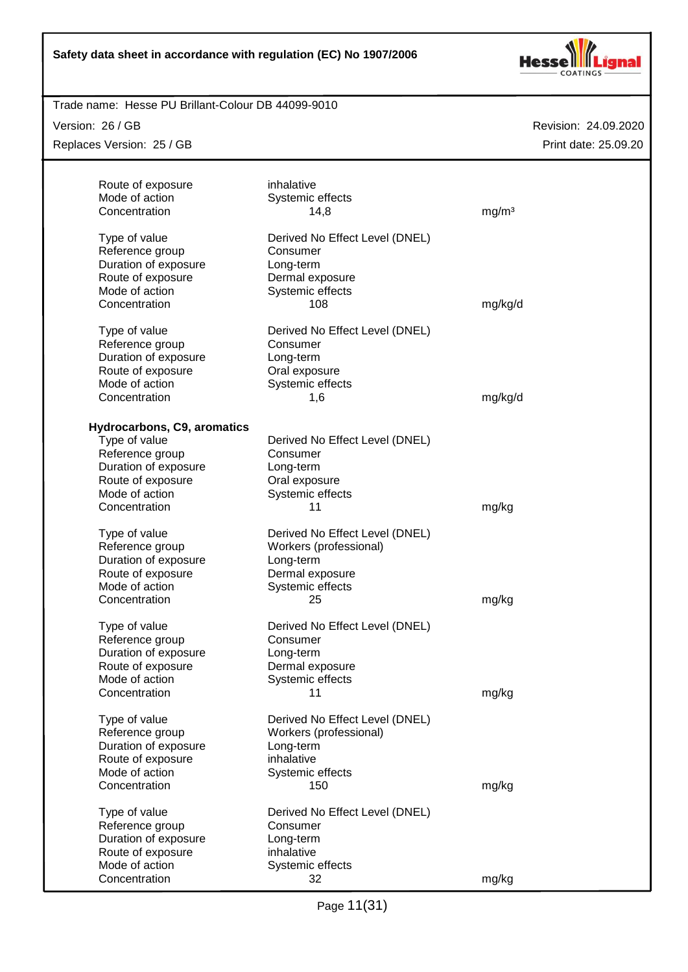

#### Trade name: Hesse PU Brillant-Colour DB 44099-9010

Version: 26 / GB

Replaces Version: 25 / GB

| Route of exposure           | inhalative                     |                   |
|-----------------------------|--------------------------------|-------------------|
| Mode of action              | Systemic effects               |                   |
| Concentration               | 14,8                           | mg/m <sup>3</sup> |
|                             |                                |                   |
| Type of value               | Derived No Effect Level (DNEL) |                   |
| Reference group             | Consumer                       |                   |
|                             |                                |                   |
| Duration of exposure        | Long-term                      |                   |
| Route of exposure           | Dermal exposure                |                   |
| Mode of action              | Systemic effects               |                   |
| Concentration               | 108                            | mg/kg/d           |
|                             |                                |                   |
| Type of value               | Derived No Effect Level (DNEL) |                   |
| Reference group             | Consumer                       |                   |
| Duration of exposure        | Long-term                      |                   |
| Route of exposure           | Oral exposure                  |                   |
| Mode of action              | Systemic effects               |                   |
| Concentration               | 1,6                            | mg/kg/d           |
|                             |                                |                   |
| Hydrocarbons, C9, aromatics |                                |                   |
| Type of value               | Derived No Effect Level (DNEL) |                   |
| Reference group             | Consumer                       |                   |
| Duration of exposure        | Long-term                      |                   |
| Route of exposure           | Oral exposure                  |                   |
| Mode of action              | Systemic effects               |                   |
| Concentration               | 11                             | mg/kg             |
|                             |                                |                   |
| Type of value               | Derived No Effect Level (DNEL) |                   |
| Reference group             | Workers (professional)         |                   |
| Duration of exposure        | Long-term                      |                   |
| Route of exposure           | Dermal exposure                |                   |
| Mode of action              | Systemic effects               |                   |
| Concentration               | 25                             | mg/kg             |
|                             |                                |                   |
| Type of value               | Derived No Effect Level (DNEL) |                   |
| Reference group             | Consumer                       |                   |
| Duration of exposure        | Long-term                      |                   |
| Route of exposure           | Dermal exposure                |                   |
| Mode of action              | Systemic effects               |                   |
| Concentration               | 11                             | mg/kg             |
|                             |                                |                   |
| Type of value               | Derived No Effect Level (DNEL) |                   |
| Reference group             | Workers (professional)         |                   |
| Duration of exposure        | Long-term                      |                   |
| Route of exposure           | inhalative                     |                   |
| Mode of action              | Systemic effects               |                   |
| Concentration               | 150                            | mg/kg             |
|                             |                                |                   |
| Type of value               | Derived No Effect Level (DNEL) |                   |
| Reference group             | Consumer                       |                   |
| Duration of exposure        | Long-term                      |                   |
| Route of exposure           | inhalative                     |                   |
| Mode of action              | Systemic effects               |                   |
| Concentration               | 32                             | mg/kg             |
|                             |                                |                   |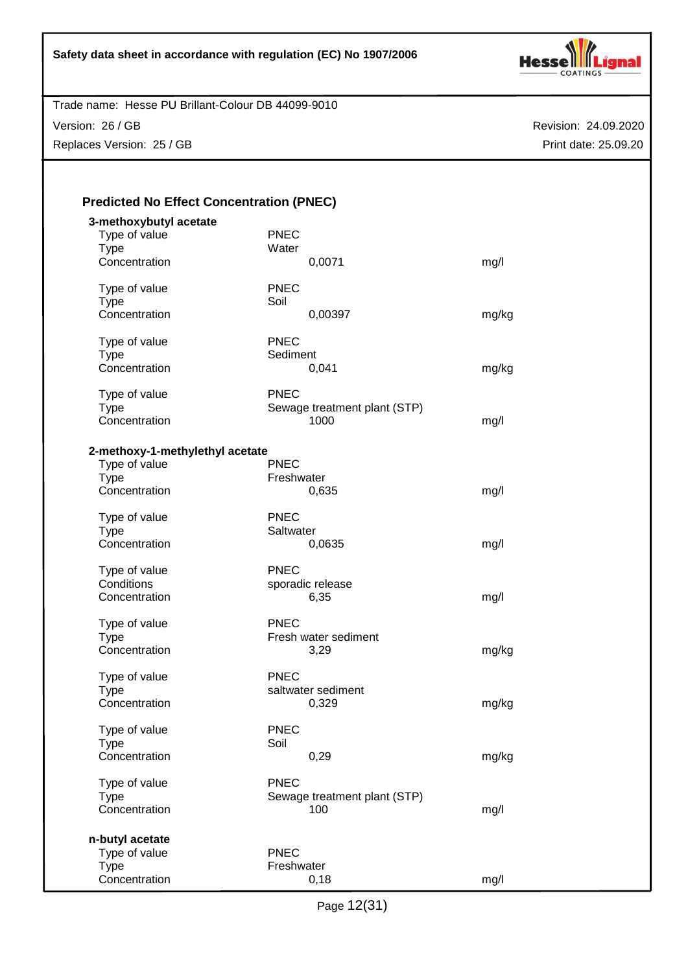

Version: 26 / GB

Replaces Version: 25 / GB

| <b>Predicted No Effect Concentration (PNEC)</b> |
|-------------------------------------------------|
|-------------------------------------------------|

| 3-methoxybutyl acetate<br>Type of value<br><b>Type</b><br>Concentration          | <b>PNEC</b><br>Water<br>0,0071                      | mg/l  |
|----------------------------------------------------------------------------------|-----------------------------------------------------|-------|
| Type of value<br><b>Type</b><br>Concentration                                    | <b>PNEC</b><br>Soil<br>0,00397                      | mg/kg |
| Type of value<br><b>Type</b><br>Concentration                                    | <b>PNEC</b><br>Sediment<br>0,041                    | mg/kg |
| Type of value<br><b>Type</b><br>Concentration                                    | <b>PNEC</b><br>Sewage treatment plant (STP)<br>1000 | mg/l  |
| 2-methoxy-1-methylethyl acetate<br>Type of value<br><b>Type</b><br>Concentration | <b>PNEC</b><br>Freshwater<br>0,635                  | mg/l  |
| Type of value<br><b>Type</b><br>Concentration                                    | <b>PNEC</b><br>Saltwater<br>0,0635                  | mg/l  |
| Type of value<br>Conditions<br>Concentration                                     | <b>PNEC</b><br>sporadic release<br>6,35             | mg/l  |
| Type of value<br><b>Type</b><br>Concentration                                    | <b>PNEC</b><br>Fresh water sediment<br>3,29         | mg/kg |
| Type of value<br><b>Type</b><br>Concentration                                    | <b>PNEC</b><br>saltwater sediment<br>0,329          | mg/kg |
| Type of value<br>Type<br>Concentration                                           | <b>PNEC</b><br>Soil<br>0,29                         | mg/kg |
| Type of value<br><b>Type</b><br>Concentration                                    | <b>PNEC</b><br>Sewage treatment plant (STP)<br>100  | mg/l  |
| n-butyl acetate<br>Type of value<br><b>Type</b><br>Concentration                 | <b>PNEC</b><br>Freshwater<br>0,18                   | mg/l  |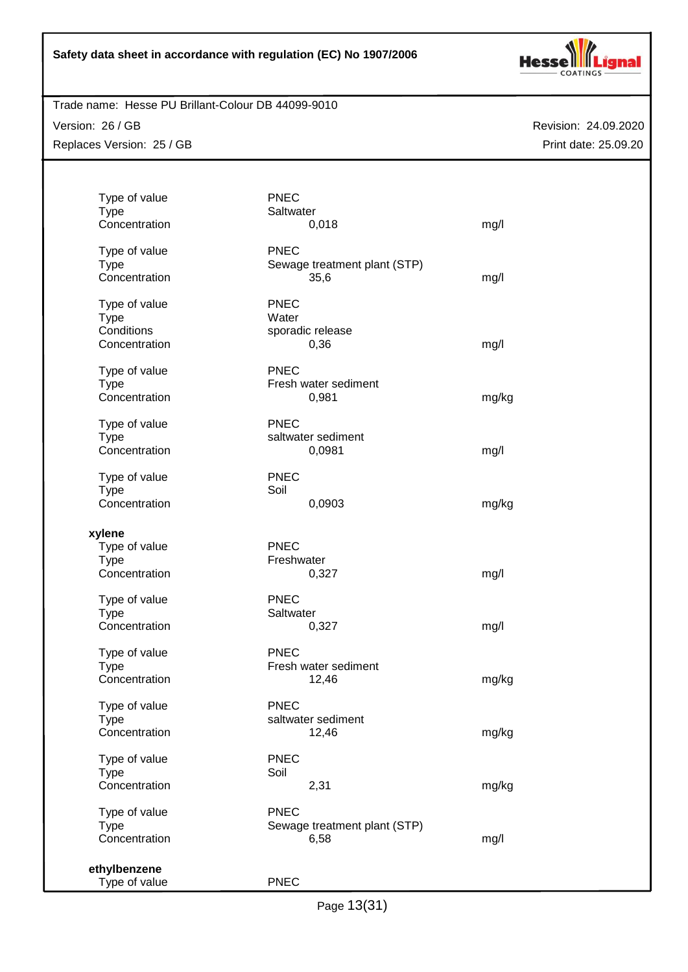

#### Trade name: Hesse PU Brillant-Colour DB 44099-9010

Version: 26 / GB Replaces Version: 25 / GB

| Type of value                 | <b>PNEC</b>                  |       |
|-------------------------------|------------------------------|-------|
| <b>Type</b>                   | Saltwater                    |       |
| Concentration                 | 0,018                        | mg/l  |
| Type of value                 | <b>PNEC</b>                  |       |
| <b>Type</b>                   | Sewage treatment plant (STP) |       |
| Concentration                 | 35,6                         | mg/l  |
| Type of value                 | <b>PNEC</b>                  |       |
| <b>Type</b>                   | Water                        |       |
| Conditions                    | sporadic release             |       |
| Concentration                 | 0,36                         | mg/l  |
| Type of value                 | <b>PNEC</b>                  |       |
| <b>Type</b>                   | Fresh water sediment         |       |
| Concentration                 | 0,981                        | mg/kg |
|                               |                              |       |
| Type of value                 | <b>PNEC</b>                  |       |
| <b>Type</b><br>Concentration  | saltwater sediment           |       |
|                               | 0,0981                       | mg/l  |
| Type of value                 | <b>PNEC</b>                  |       |
| <b>Type</b>                   | Soil                         |       |
| Concentration                 | 0,0903                       | mg/kg |
| xylene                        |                              |       |
| Type of value                 | <b>PNEC</b>                  |       |
| <b>Type</b>                   | Freshwater                   |       |
| Concentration                 | 0,327                        | mg/l  |
| Type of value                 | <b>PNEC</b>                  |       |
| <b>Type</b>                   | Saltwater                    |       |
| Concentration                 | 0,327                        | mg/l  |
| Type of value                 | <b>PNEC</b>                  |       |
| <b>Type</b>                   | Fresh water sediment         |       |
| Concentration                 | 12,46                        | mg/kg |
|                               |                              |       |
| Type of value                 | <b>PNEC</b>                  |       |
| <b>Type</b>                   | saltwater sediment           |       |
| Concentration                 | 12,46                        | mg/kg |
| Type of value                 | <b>PNEC</b>                  |       |
| <b>Type</b>                   | Soil                         |       |
| Concentration                 | 2,31                         | mg/kg |
| Type of value                 | <b>PNEC</b>                  |       |
| <b>Type</b>                   | Sewage treatment plant (STP) |       |
| Concentration                 | 6,58                         | mg/l  |
|                               |                              |       |
| ethylbenzene<br>Type of value | <b>PNEC</b>                  |       |
|                               |                              |       |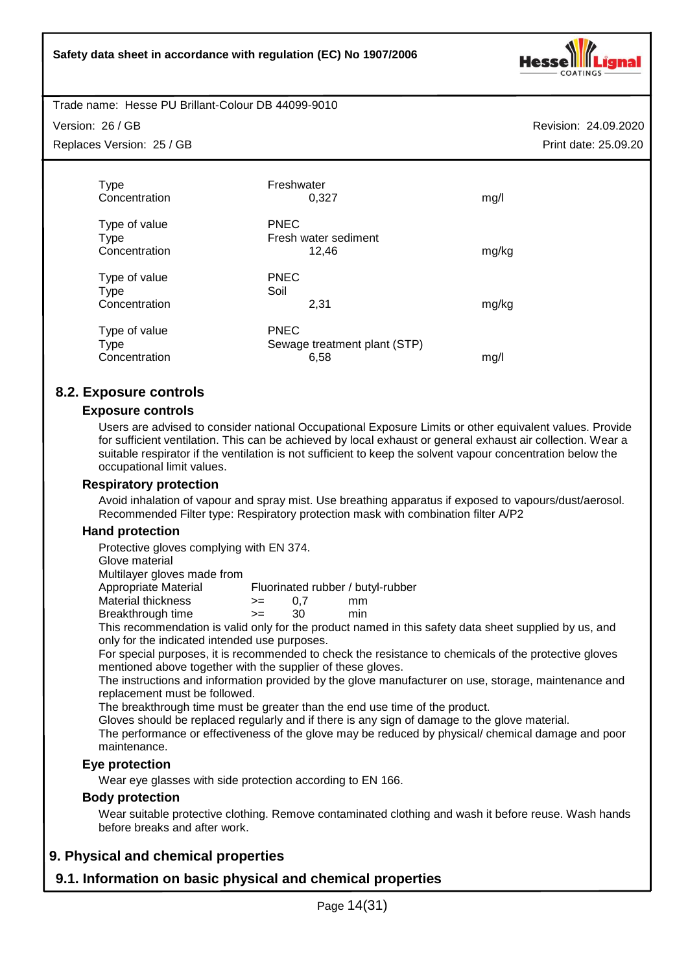

Trade name: Hesse PU Brillant-Colour DB 44099-9010

Version: 26 / GB

Replaces Version: 25 / GB

Revision: 24.09.2020 Print date: 25.09.20

| Type<br>Concentration                         | Freshwater<br>0.327                                 | mg/l  |
|-----------------------------------------------|-----------------------------------------------------|-------|
| Type of value<br><b>Type</b><br>Concentration | <b>PNEC</b><br>Fresh water sediment<br>12,46        | mg/kg |
| Type of value<br>Type<br>Concentration        | <b>PNEC</b><br>Soil<br>2,31                         | mg/kg |
| Type of value<br><b>Type</b><br>Concentration | <b>PNEC</b><br>Sewage treatment plant (STP)<br>6,58 | mg/l  |

# **8.2. Exposure controls**

#### **Exposure controls**

Users are advised to consider national Occupational Exposure Limits or other equivalent values. Provide for sufficient ventilation. This can be achieved by local exhaust or general exhaust air collection. Wear a suitable respirator if the ventilation is not sufficient to keep the solvent vapour concentration below the occupational limit values.

#### **Respiratory protection**

Avoid inhalation of vapour and spray mist. Use breathing apparatus if exposed to vapours/dust/aerosol. Recommended Filter type: Respiratory protection mask with combination filter A/P2

#### **Hand protection**

Protective gloves complying with EN 374.

Glove material

Multilayer gloves made from

Appropriate Material Fluorinated rubber / butyl-rubber<br>Material thickness  $\rangle = 0.7$  mm

Material thickness  $\ge$  = 0,7 mm<br>Breakthrough time  $\ge$  = 30 min Breakthrough time  $\ge$  = 30

This recommendation is valid only for the product named in this safety data sheet supplied by us, and

only for the indicated intended use purposes.

For special purposes, it is recommended to check the resistance to chemicals of the protective gloves mentioned above together with the supplier of these gloves.

The instructions and information provided by the glove manufacturer on use, storage, maintenance and replacement must be followed.

The breakthrough time must be greater than the end use time of the product.

Gloves should be replaced regularly and if there is any sign of damage to the glove material.

The performance or effectiveness of the glove may be reduced by physical/ chemical damage and poor maintenance.

#### **Eye protection**

Wear eye glasses with side protection according to EN 166.

### **Body protection**

Wear suitable protective clothing. Remove contaminated clothing and wash it before reuse. Wash hands before breaks and after work.

# **9. Physical and chemical properties**

# **9.1. Information on basic physical and chemical properties**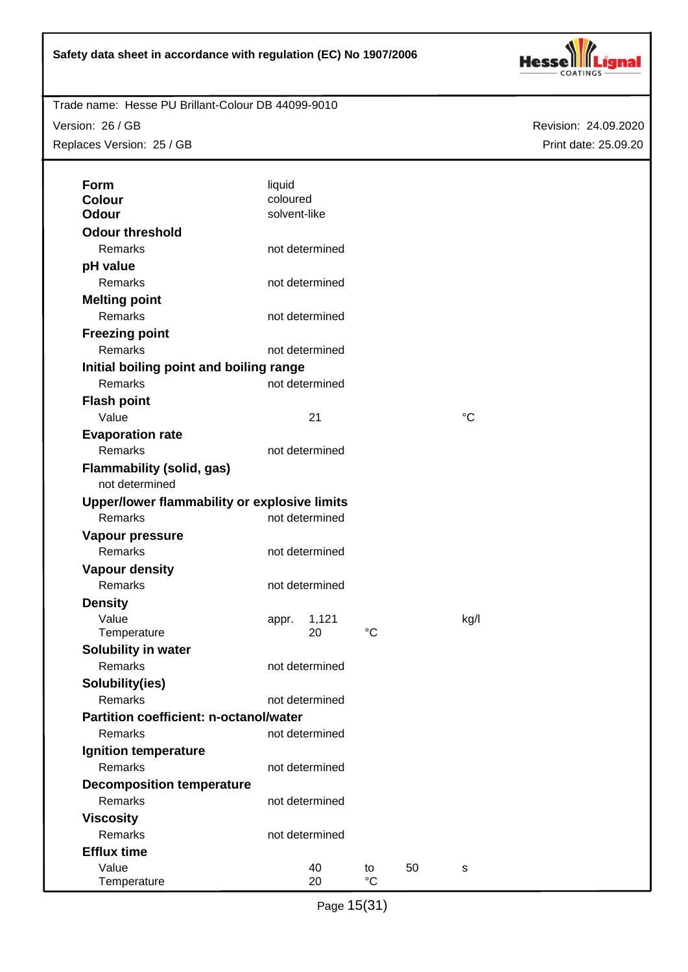

Version: 26 / GB Replaces Version: 25 / GB

| Form                                               | liquid                   |                |                 |    |                 |  |
|----------------------------------------------------|--------------------------|----------------|-----------------|----|-----------------|--|
| <b>Colour</b><br><b>Odour</b>                      | coloured<br>solvent-like |                |                 |    |                 |  |
| <b>Odour threshold</b>                             |                          |                |                 |    |                 |  |
|                                                    |                          |                |                 |    |                 |  |
| Remarks                                            |                          | not determined |                 |    |                 |  |
| pH value                                           |                          |                |                 |    |                 |  |
| Remarks                                            |                          | not determined |                 |    |                 |  |
| <b>Melting point</b>                               |                          |                |                 |    |                 |  |
| Remarks                                            |                          | not determined |                 |    |                 |  |
| <b>Freezing point</b>                              |                          |                |                 |    |                 |  |
| Remarks                                            |                          | not determined |                 |    |                 |  |
| Initial boiling point and boiling range            |                          |                |                 |    |                 |  |
| Remarks                                            |                          | not determined |                 |    |                 |  |
| <b>Flash point</b>                                 |                          |                |                 |    |                 |  |
| Value                                              |                          | 21             |                 |    | $\rm ^{\circ}C$ |  |
| <b>Evaporation rate</b>                            |                          |                |                 |    |                 |  |
| Remarks                                            |                          | not determined |                 |    |                 |  |
| <b>Flammability (solid, gas)</b><br>not determined |                          |                |                 |    |                 |  |
| Upper/lower flammability or explosive limits       |                          |                |                 |    |                 |  |
| Remarks                                            |                          | not determined |                 |    |                 |  |
| Vapour pressure                                    |                          |                |                 |    |                 |  |
| Remarks                                            |                          | not determined |                 |    |                 |  |
| <b>Vapour density</b>                              |                          |                |                 |    |                 |  |
| Remarks                                            |                          | not determined |                 |    |                 |  |
| <b>Density</b>                                     |                          |                |                 |    |                 |  |
| Value<br>Temperature                               | appr.                    | 1,121<br>20    | $\rm ^{\circ}C$ |    | kg/l            |  |
| Solubility in water                                |                          |                |                 |    |                 |  |
| Remarks                                            |                          | not determined |                 |    |                 |  |
| Solubility(ies)                                    |                          |                |                 |    |                 |  |
| Remarks                                            |                          | not determined |                 |    |                 |  |
| <b>Partition coefficient: n-octanol/water</b>      |                          |                |                 |    |                 |  |
| Remarks                                            |                          | not determined |                 |    |                 |  |
| Ignition temperature                               |                          |                |                 |    |                 |  |
| Remarks                                            |                          | not determined |                 |    |                 |  |
| <b>Decomposition temperature</b>                   |                          |                |                 |    |                 |  |
| Remarks                                            |                          | not determined |                 |    |                 |  |
| <b>Viscosity</b>                                   |                          |                |                 |    |                 |  |
| Remarks                                            |                          | not determined |                 |    |                 |  |
| <b>Efflux time</b>                                 |                          |                |                 |    |                 |  |
| Value                                              |                          | 40             | to              | 50 | s               |  |
| Temperature                                        |                          | 20             | $\rm ^{\circ}C$ |    |                 |  |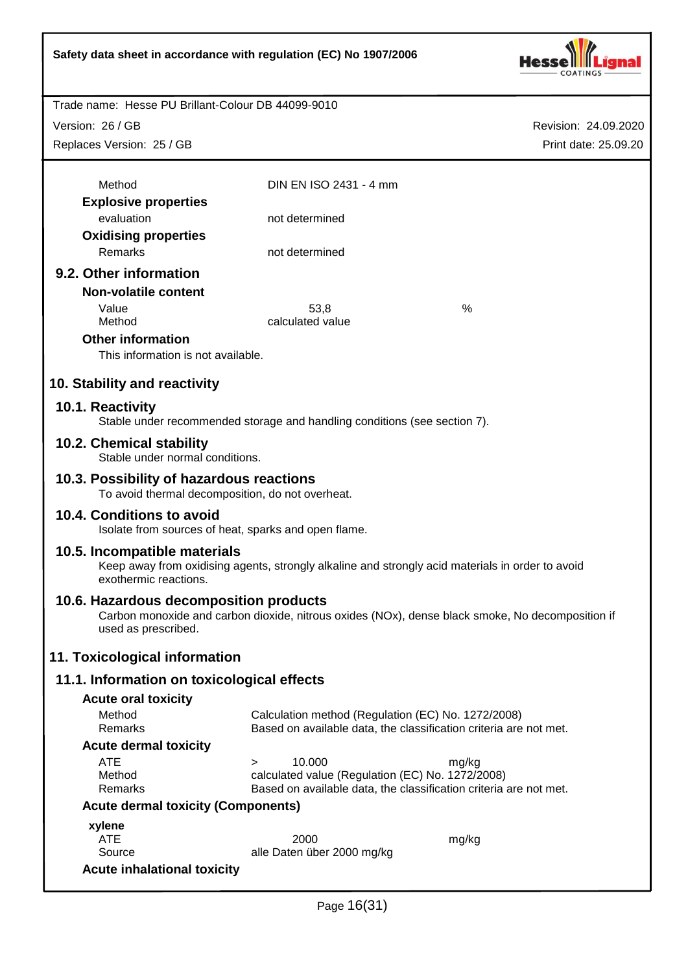

Version: 26 / GB

Replaces Version: 25 / GB

| Method                                                                                        | DIN EN ISO 2431 - 4 mm                             |                                                                                                  |
|-----------------------------------------------------------------------------------------------|----------------------------------------------------|--------------------------------------------------------------------------------------------------|
|                                                                                               |                                                    |                                                                                                  |
| <b>Explosive properties</b><br>evaluation                                                     | not determined                                     |                                                                                                  |
|                                                                                               |                                                    |                                                                                                  |
| <b>Oxidising properties</b>                                                                   |                                                    |                                                                                                  |
| Remarks                                                                                       | not determined                                     |                                                                                                  |
| 9.2. Other information                                                                        |                                                    |                                                                                                  |
| <b>Non-volatile content</b>                                                                   |                                                    |                                                                                                  |
| Value                                                                                         | 53,8                                               | %                                                                                                |
| Method                                                                                        | calculated value                                   |                                                                                                  |
| <b>Other information</b>                                                                      |                                                    |                                                                                                  |
| This information is not available.                                                            |                                                    |                                                                                                  |
| 10. Stability and reactivity                                                                  |                                                    |                                                                                                  |
| 10.1. Reactivity<br>Stable under recommended storage and handling conditions (see section 7). |                                                    |                                                                                                  |
| 10.2. Chemical stability                                                                      |                                                    |                                                                                                  |
| Stable under normal conditions.                                                               |                                                    |                                                                                                  |
| 10.3. Possibility of hazardous reactions<br>To avoid thermal decomposition, do not overheat.  |                                                    |                                                                                                  |
| 10.4. Conditions to avoid<br>Isolate from sources of heat, sparks and open flame.             |                                                    |                                                                                                  |
| 10.5. Incompatible materials<br>exothermic reactions.                                         |                                                    | Keep away from oxidising agents, strongly alkaline and strongly acid materials in order to avoid |
| 10.6. Hazardous decomposition products<br>used as prescribed.                                 |                                                    | Carbon monoxide and carbon dioxide, nitrous oxides (NOx), dense black smoke, No decomposition if |
| 11. Toxicological information                                                                 |                                                    |                                                                                                  |
| 11.1. Information on toxicological effects                                                    |                                                    |                                                                                                  |
| <b>Acute oral toxicity</b>                                                                    |                                                    |                                                                                                  |
| Method                                                                                        | Calculation method (Regulation (EC) No. 1272/2008) |                                                                                                  |
| Remarks                                                                                       |                                                    | Based on available data, the classification criteria are not met.                                |
| <b>Acute dermal toxicity</b>                                                                  |                                                    |                                                                                                  |
| <b>ATE</b>                                                                                    | 10.000<br>$\geq$                                   | mg/kg                                                                                            |
| Method                                                                                        | calculated value (Regulation (EC) No. 1272/2008)   |                                                                                                  |
| Remarks                                                                                       |                                                    | Based on available data, the classification criteria are not met.                                |
| <b>Acute dermal toxicity (Components)</b>                                                     |                                                    |                                                                                                  |
| xylene<br><b>ATE</b>                                                                          | 2000                                               |                                                                                                  |
| Source                                                                                        | alle Daten über 2000 mg/kg                         | mg/kg                                                                                            |
| <b>Acute inhalational toxicity</b>                                                            |                                                    |                                                                                                  |
|                                                                                               |                                                    |                                                                                                  |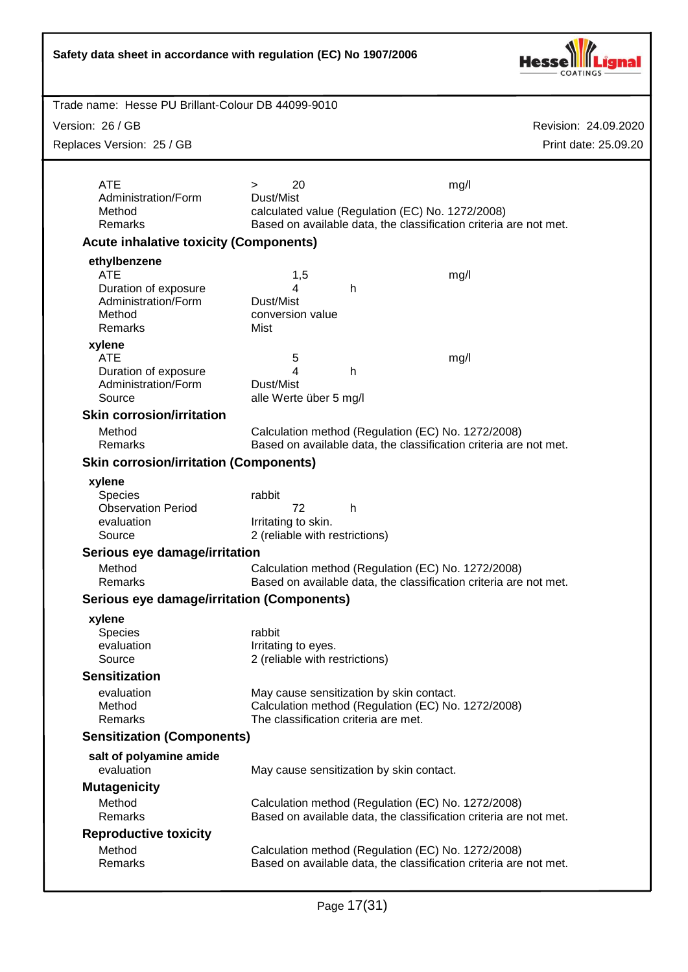| Safety data sheet in accordance with regulation (EC) No 1907/2006 |                                                                                                                         |                      |
|-------------------------------------------------------------------|-------------------------------------------------------------------------------------------------------------------------|----------------------|
| Trade name: Hesse PU Brillant-Colour DB 44099-9010                |                                                                                                                         |                      |
| Version: 26 / GB                                                  |                                                                                                                         | Revision: 24.09.2020 |
| Replaces Version: 25 / GB                                         |                                                                                                                         | Print date: 25.09.20 |
|                                                                   |                                                                                                                         |                      |
| <b>ATE</b>                                                        | 20<br>$\geq$                                                                                                            | mg/l                 |
| Administration/Form<br>Method                                     | Dust/Mist<br>calculated value (Regulation (EC) No. 1272/2008)                                                           |                      |
| Remarks                                                           | Based on available data, the classification criteria are not met.                                                       |                      |
| <b>Acute inhalative toxicity (Components)</b>                     |                                                                                                                         |                      |
| ethylbenzene                                                      |                                                                                                                         |                      |
| <b>ATE</b><br>Duration of exposure                                | 1,5<br>4<br>h                                                                                                           | mg/l                 |
| Administration/Form                                               | Dust/Mist                                                                                                               |                      |
| Method                                                            | conversion value                                                                                                        |                      |
| Remarks<br>xylene                                                 | Mist                                                                                                                    |                      |
| <b>ATE</b>                                                        | 5                                                                                                                       | mg/l                 |
| Duration of exposure                                              | h<br>4                                                                                                                  |                      |
| Administration/Form<br>Source                                     | Dust/Mist<br>alle Werte über 5 mg/l                                                                                     |                      |
| <b>Skin corrosion/irritation</b>                                  |                                                                                                                         |                      |
| Method                                                            | Calculation method (Regulation (EC) No. 1272/2008)                                                                      |                      |
| Remarks                                                           | Based on available data, the classification criteria are not met.                                                       |                      |
| <b>Skin corrosion/irritation (Components)</b>                     |                                                                                                                         |                      |
| xylene                                                            | rabbit                                                                                                                  |                      |
| Species<br><b>Observation Period</b>                              | 72<br>h                                                                                                                 |                      |
| evaluation                                                        | Irritating to skin.                                                                                                     |                      |
| Source                                                            | 2 (reliable with restrictions)                                                                                          |                      |
| Serious eye damage/irritation<br>Method                           |                                                                                                                         |                      |
| Remarks                                                           | Calculation method (Regulation (EC) No. 1272/2008)<br>Based on available data, the classification criteria are not met. |                      |
| <b>Serious eye damage/irritation (Components)</b>                 |                                                                                                                         |                      |
| xylene                                                            |                                                                                                                         |                      |
| <b>Species</b>                                                    | rabbit                                                                                                                  |                      |
| evaluation<br>Source                                              | Irritating to eyes.<br>2 (reliable with restrictions)                                                                   |                      |
| <b>Sensitization</b>                                              |                                                                                                                         |                      |
| evaluation                                                        | May cause sensitization by skin contact.                                                                                |                      |
| Method<br>Remarks                                                 | Calculation method (Regulation (EC) No. 1272/2008)<br>The classification criteria are met.                              |                      |
| <b>Sensitization (Components)</b>                                 |                                                                                                                         |                      |
| salt of polyamine amide                                           |                                                                                                                         |                      |
| evaluation                                                        | May cause sensitization by skin contact.                                                                                |                      |
| <b>Mutagenicity</b>                                               |                                                                                                                         |                      |
| Method                                                            | Calculation method (Regulation (EC) No. 1272/2008)                                                                      |                      |
| Remarks<br><b>Reproductive toxicity</b>                           | Based on available data, the classification criteria are not met.                                                       |                      |
| Method                                                            | Calculation method (Regulation (EC) No. 1272/2008)                                                                      |                      |
| Remarks                                                           | Based on available data, the classification criteria are not met.                                                       |                      |
|                                                                   |                                                                                                                         |                      |

٦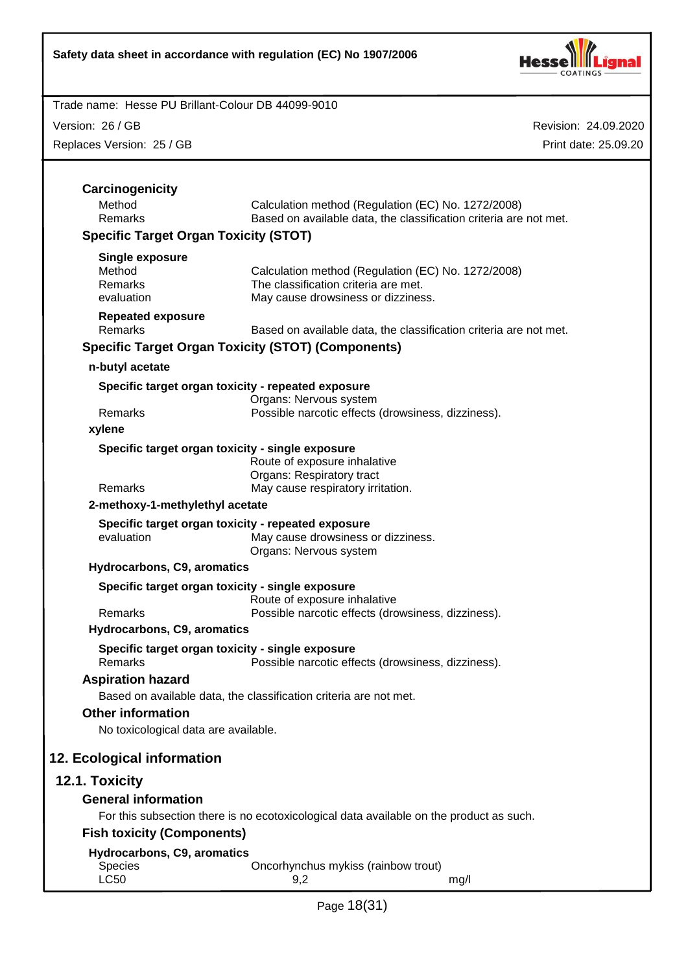

Version: 26 / GB

Replaces Version: 25 / GB

| Carcinogenicity                                                  |                                                                                         |
|------------------------------------------------------------------|-----------------------------------------------------------------------------------------|
| Method                                                           | Calculation method (Regulation (EC) No. 1272/2008)                                      |
| Remarks                                                          | Based on available data, the classification criteria are not met.                       |
| <b>Specific Target Organ Toxicity (STOT)</b>                     |                                                                                         |
| <b>Single exposure</b>                                           |                                                                                         |
| Method                                                           | Calculation method (Regulation (EC) No. 1272/2008)                                      |
| Remarks<br>evaluation                                            | The classification criteria are met.<br>May cause drowsiness or dizziness.              |
| <b>Repeated exposure</b>                                         |                                                                                         |
| Remarks                                                          | Based on available data, the classification criteria are not met.                       |
|                                                                  | <b>Specific Target Organ Toxicity (STOT) (Components)</b>                               |
| n-butyl acetate                                                  |                                                                                         |
| Specific target organ toxicity - repeated exposure               |                                                                                         |
| <b>Remarks</b>                                                   | Organs: Nervous system<br>Possible narcotic effects (drowsiness, dizziness).            |
| xylene                                                           |                                                                                         |
| Specific target organ toxicity - single exposure                 |                                                                                         |
|                                                                  | Route of exposure inhalative                                                            |
|                                                                  | Organs: Respiratory tract                                                               |
| Remarks<br>2-methoxy-1-methylethyl acetate                       | May cause respiratory irritation.                                                       |
|                                                                  |                                                                                         |
| Specific target organ toxicity - repeated exposure<br>evaluation | May cause drowsiness or dizziness.<br>Organs: Nervous system                            |
| Hydrocarbons, C9, aromatics                                      |                                                                                         |
| Specific target organ toxicity - single exposure                 |                                                                                         |
|                                                                  | Route of exposure inhalative                                                            |
| Remarks                                                          | Possible narcotic effects (drowsiness, dizziness).                                      |
| Hydrocarbons, C9, aromatics                                      |                                                                                         |
| Specific target organ toxicity - single exposure<br>Remarks      | Possible narcotic effects (drowsiness, dizziness).                                      |
| <b>Aspiration hazard</b>                                         |                                                                                         |
|                                                                  | Based on available data, the classification criteria are not met.                       |
| <b>Other information</b>                                         |                                                                                         |
| No toxicological data are available.                             |                                                                                         |
| 12. Ecological information                                       |                                                                                         |
| 12.1. Toxicity                                                   |                                                                                         |
| <b>General information</b>                                       |                                                                                         |
|                                                                  | For this subsection there is no ecotoxicological data available on the product as such. |
| <b>Fish toxicity (Components)</b>                                |                                                                                         |
| Hydrocarbons, C9, aromatics                                      |                                                                                         |
| Species                                                          | Oncorhynchus mykiss (rainbow trout)                                                     |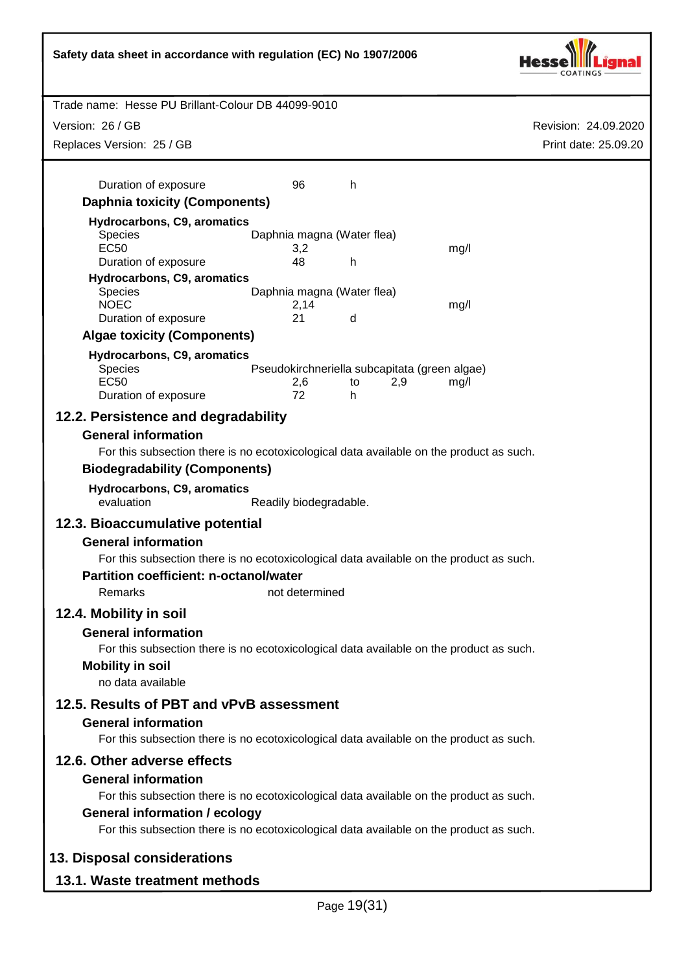Revision: 24.09.2020 Trade name: Hesse PU Brillant-Colour DB 44099-9010 Print date: 25.09.20 Version: 26 / GB **Safety data sheet in accordance with regulation (EC) No 1907/2006** Replaces Version: 25 / GB Page 19(31) Duration of exposure 196 **Daphnia toxicity (Components) Hydrocarbons, C9, aromatics** Species Daphnia magna (Water flea)<br>EC50 3.2 EC50 3,2 mg/l Duration of exposure 48 h **Hydrocarbons, C9, aromatics** Species Daphnia magna (Water flea) NOEC 2,14 mg/l Duration of exposure 21 d **Algae toxicity (Components) Hydrocarbons, C9, aromatics** Species **Pseudokirchneriella subcapitata (green algae)** EC50 2,6 to 2,9 mg/l Duration of exposure 72 h **12.2. Persistence and degradability General information** For this subsection there is no ecotoxicological data available on the product as such. **Biodegradability (Components) Hydrocarbons, C9, aromatics** evaluation Readily biodegradable. **12.3. Bioaccumulative potential General information** For this subsection there is no ecotoxicological data available on the product as such. **Partition coefficient: n-octanol/water** Remarks not determined **12.4. Mobility in soil General information** For this subsection there is no ecotoxicological data available on the product as such. **Mobility in soil** no data available **12.5. Results of PBT and vPvB assessment General information** For this subsection there is no ecotoxicological data available on the product as such. **12.6. Other adverse effects General information** For this subsection there is no ecotoxicological data available on the product as such. **General information / ecology** For this subsection there is no ecotoxicological data available on the product as such. **13. Disposal considerations 13.1. Waste treatment methods**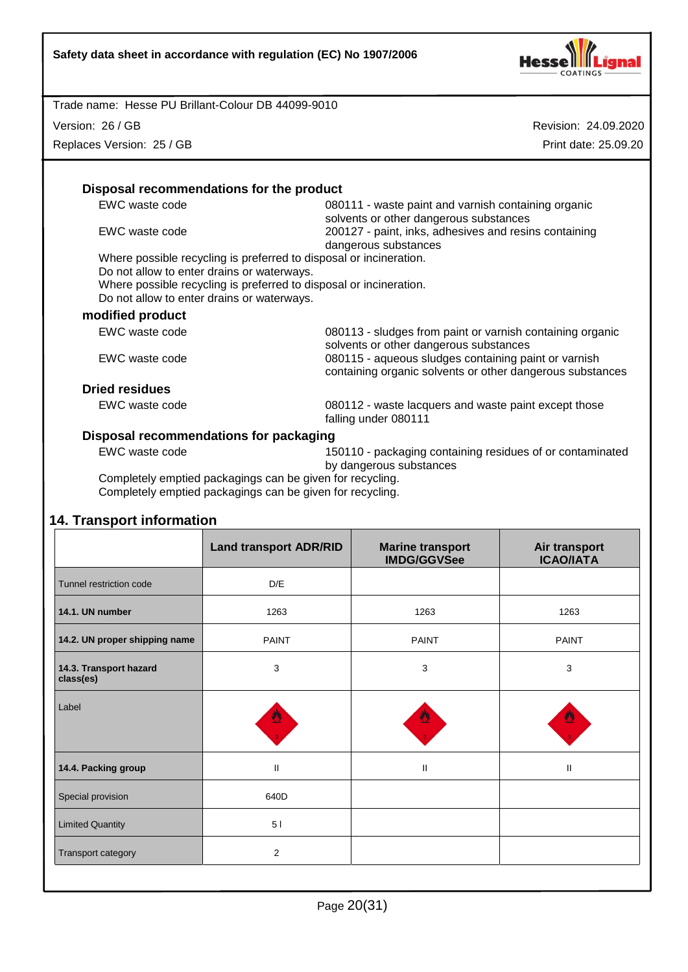

Version: 26 / GB

Replaces Version: 25 / GB

Revision: 24.09.2020 Print date: 25.09.20

| EWC waste code                             | 080111 - waste paint and varnish containing organic                                                               |
|--------------------------------------------|-------------------------------------------------------------------------------------------------------------------|
|                                            | solvents or other dangerous substances                                                                            |
| EWC waste code                             | 200127 - paint, inks, adhesives and resins containing<br>dangerous substances                                     |
|                                            | Where possible recycling is preferred to disposal or incineration.                                                |
| Do not allow to enter drains or waterways. |                                                                                                                   |
|                                            | Where possible recycling is preferred to disposal or incineration.                                                |
| Do not allow to enter drains or waterways. |                                                                                                                   |
| modified product                           |                                                                                                                   |
| EWC waste code                             | 080113 - sludges from paint or varnish containing organic<br>solvents or other dangerous substances               |
| EWC waste code                             | 080115 - aqueous sludges containing paint or varnish<br>containing organic solvents or other dangerous substances |
|                                            |                                                                                                                   |
| <b>Dried residues</b>                      |                                                                                                                   |

#### **Disposal recommendations for packaging**

EWC waste code 150110 - packaging containing residues of or contaminated by dangerous substances

Completely emptied packagings can be given for recycling. Completely emptied packagings can be given for recycling.

# **14. Transport information**

|                                     | <b>Land transport ADR/RID</b> | <b>Marine transport</b><br><b>IMDG/GGVSee</b> | Air transport<br><b>ICAO/IATA</b> |
|-------------------------------------|-------------------------------|-----------------------------------------------|-----------------------------------|
| Tunnel restriction code             | D/E                           |                                               |                                   |
| 14.1. UN number                     | 1263                          | 1263                                          | 1263                              |
| 14.2. UN proper shipping name       | <b>PAINT</b>                  | <b>PAINT</b>                                  | <b>PAINT</b>                      |
| 14.3. Transport hazard<br>class(es) | 3                             | 3                                             | 3                                 |
| Label                               | ≝                             |                                               | <u>47</u>                         |
| 14.4. Packing group                 | $\mathsf{I}$                  | $\mathbf{II}$                                 | Ш                                 |
| Special provision                   | 640D                          |                                               |                                   |
| <b>Limited Quantity</b>             | 51                            |                                               |                                   |
| Transport category                  | 2                             |                                               |                                   |
|                                     |                               |                                               |                                   |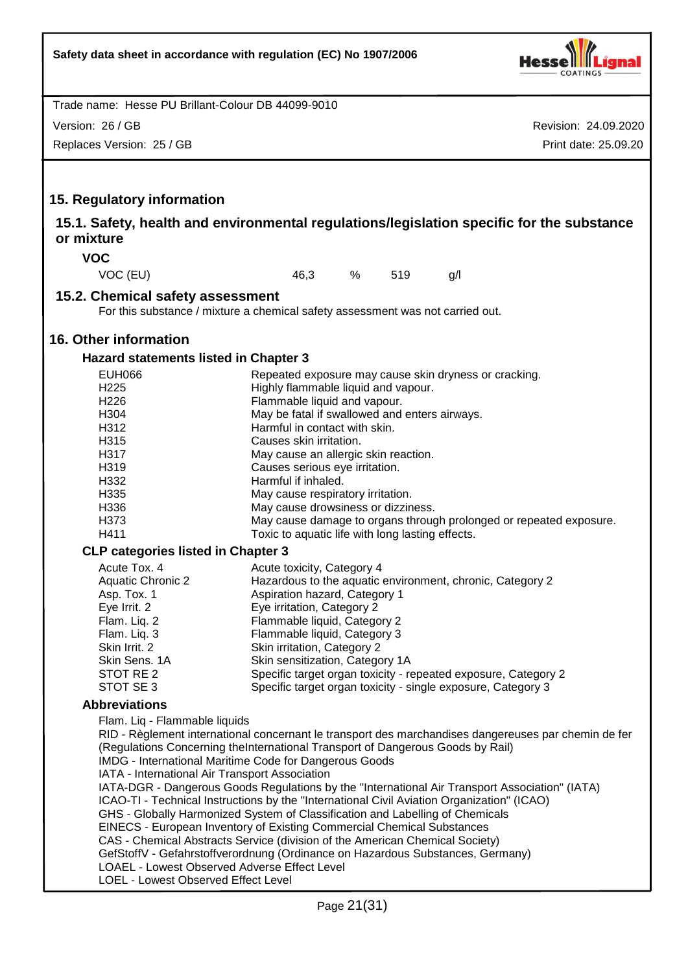

Revision: 24.09.2020 Trade name: Hesse PU Brillant-Colour DB 44099-9010 Print date: 25.09.20 Version: 26 / GB Replaces Version: 25 / GB **15. Regulatory information 15.1. Safety, health and environmental regulations/legislation specific for the substance or mixture VOC** VOC (EU) 46,3 % 519 g/l **15.2. Chemical safety assessment** For this substance / mixture a chemical safety assessment was not carried out. **16. Other information Hazard statements listed in Chapter 3** EUH066 Repeated exposure may cause skin dryness or cracking.<br>H225 Highly flammable liquid and vapour. H225 Highly flammable liquid and vapour.<br>H226 H226 Hammable liquid and vapour. Flammable liquid and vapour. H304 May be fatal if swallowed and enters airways. H312 Harmful in contact with skin. H315 Causes skin irritation. H317 May cause an allergic skin reaction. H319 Causes serious eye irritation. H332 Harmful if inhaled.<br>H335 May cause respira May cause respiratory irritation. H336 May cause drowsiness or dizziness. H373 May cause damage to organs through prolonged or repeated exposure. H411 Toxic to aquatic life with long lasting effects. **CLP categories listed in Chapter 3** Acute Tox. 4 **Acute toxicity, Category 4** Aquatic Chronic 2 Hazardous to the aquatic environment, chronic, Category 2 Asp. Tox. 1 **Aspiration hazard, Category 1** Eye Irrit. 2 Eye irritation, Category 2 Flam. Liq. 2 Flammable liquid, Category 2 Flam. Liq. 3 Flammable liquid, Category 3 Skin Irrit. 2 Skin irritation, Category 2 Skin Sens. 1A Skin sensitization, Category 1A STOT RE 2 Specific target organ toxicity - repeated exposure, Category 2 STOT SE 3 Specific target organ toxicity - single exposure, Category 3 **Abbreviations** Flam. Liq - Flammable liquids RID - Règlement international concernant le transport des marchandises dangereuses par chemin de fer (Regulations Concerning theInternational Transport of Dangerous Goods by Rail) IMDG - International Maritime Code for Dangerous Goods IATA - International Air Transport Association IATA-DGR - Dangerous Goods Regulations by the "International Air Transport Association" (IATA) ICAO-TI - Technical Instructions by the "International Civil Aviation Organization" (ICAO) GHS - Globally Harmonized System of Classification and Labelling of Chemicals EINECS - European Inventory of Existing Commercial Chemical Substances CAS - Chemical Abstracts Service (division of the American Chemical Society) GefStoffV - Gefahrstoffverordnung (Ordinance on Hazardous Substances, Germany) LOAEL - Lowest Observed Adverse Effect Level LOEL - Lowest Observed Effect Level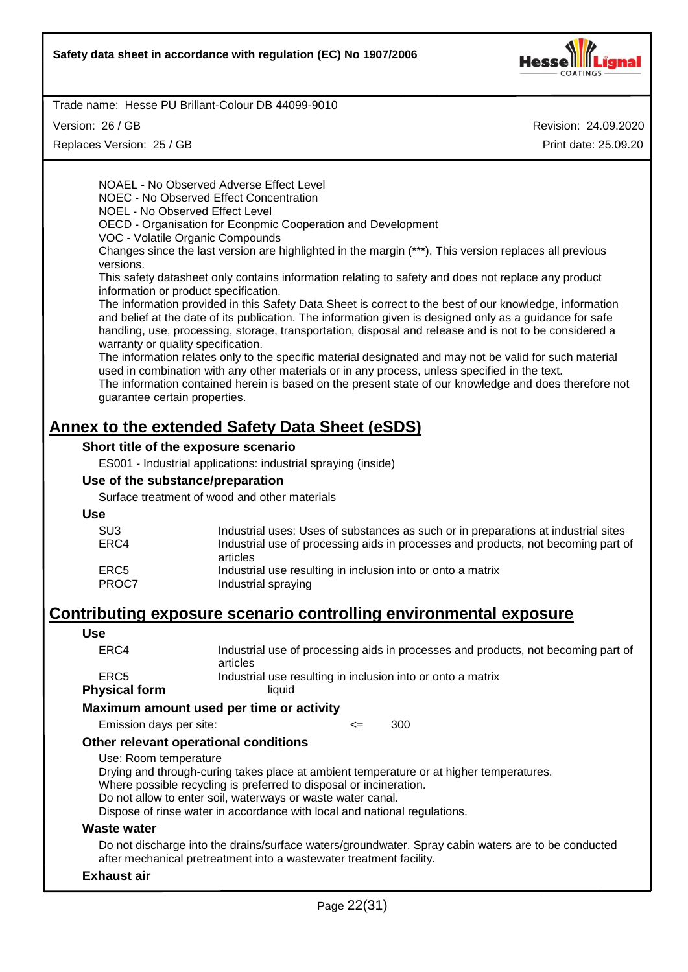

Version: 26 / GB

Replaces Version: 25 / GB

Revision: 24.09.2020 Print date: 25.09.20

NOAEL - No Observed Adverse Effect Level NOEC - No Observed Effect Concentration NOEL - No Observed Effect Level OECD - Organisation for Econpmic Cooperation and Development VOC - Volatile Organic Compounds Changes since the last version are highlighted in the margin (\*\*\*). This version replaces all previous versions.

This safety datasheet only contains information relating to safety and does not replace any product information or product specification.

The information provided in this Safety Data Sheet is correct to the best of our knowledge, information and belief at the date of its publication. The information given is designed only as a guidance for safe handling, use, processing, storage, transportation, disposal and release and is not to be considered a warranty or quality specification.

The information relates only to the specific material designated and may not be valid for such material used in combination with any other materials or in any process, unless specified in the text.

The information contained herein is based on the present state of our knowledge and does therefore not guarantee certain properties.

# **Annex to the extended Safety Data Sheet (eSDS)**

#### **Short title of the exposure scenario**

ES001 - Industrial applications: industrial spraying (inside)

#### **Use of the substance/preparation**

Surface treatment of wood and other materials

#### **Use**

| Industrial uses: Uses of substances as such or in preparations at industrial sites |
|------------------------------------------------------------------------------------|
| Industrial use of processing aids in processes and products, not becoming part of  |
| articles                                                                           |
| Industrial use resulting in inclusion into or onto a matrix                        |
| Industrial spraying                                                                |
|                                                                                    |

# **Contributing exposure scenario controlling environmental exposure**

#### **Use**

| ERC4<br>articles<br>ERC5 | hveical form | himnil                                                                            |
|--------------------------|--------------|-----------------------------------------------------------------------------------|
|                          |              | Industrial use resulting in inclusion into or onto a matrix                       |
|                          |              |                                                                                   |
|                          |              | Industrial use of processing aids in processes and products, not becoming part of |

# **Physical form**

**Maximum amount used per time or activity**

Emission days per site:  $\leq$  300

#### **Other relevant operational conditions**

Use: Room temperature

Drying and through-curing takes place at ambient temperature or at higher temperatures.

Where possible recycling is preferred to disposal or incineration.

Do not allow to enter soil, waterways or waste water canal.

Dispose of rinse water in accordance with local and national regulations.

#### **Waste water**

Do not discharge into the drains/surface waters/groundwater. Spray cabin waters are to be conducted after mechanical pretreatment into a wastewater treatment facility.

#### **Exhaust air**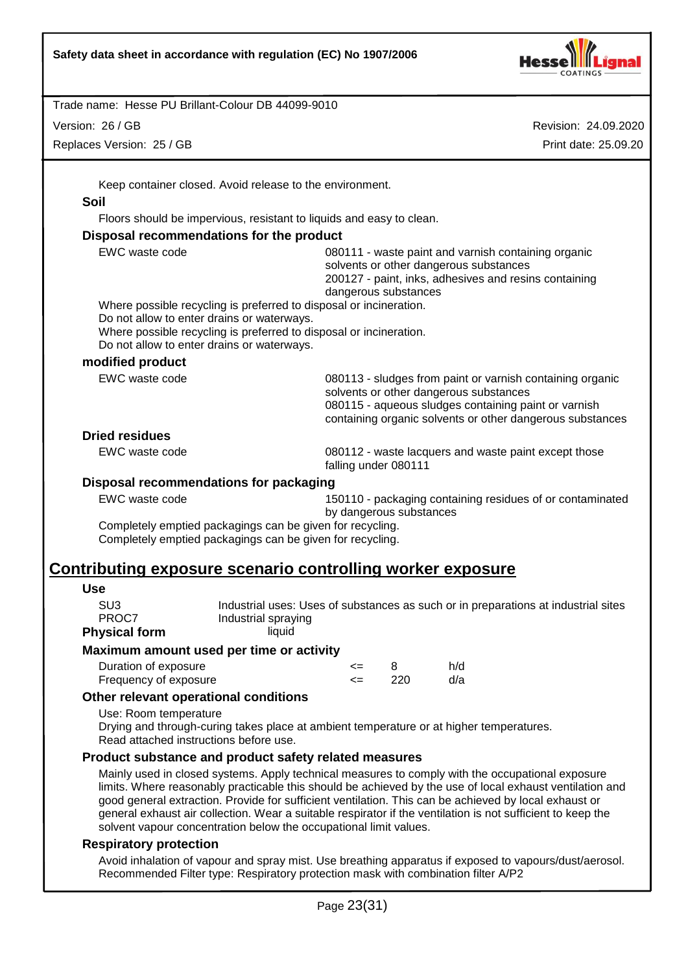

Version: 26 / GB

Replaces Version: 25 / GB

Revision: 24.09.2020 Print date: 25.09.20

Keep container closed. Avoid release to the environment.

#### **Soil**

Floors should be impervious, resistant to liquids and easy to clean.

#### **Disposal recommendations for the product**

| EWC waste code                                                                                                                                                 | 080111 - waste paint and varnish containing organic<br>solvents or other dangerous substances<br>200127 - paint, inks, adhesives and resins containing<br>dangerous substances                                           |
|----------------------------------------------------------------------------------------------------------------------------------------------------------------|--------------------------------------------------------------------------------------------------------------------------------------------------------------------------------------------------------------------------|
| Where possible recycling is preferred to disposal or incineration.                                                                                             |                                                                                                                                                                                                                          |
| Do not allow to enter drains or waterways.<br>Where possible recycling is preferred to disposal or incineration.<br>Do not allow to enter drains or waterways. |                                                                                                                                                                                                                          |
| modified product                                                                                                                                               |                                                                                                                                                                                                                          |
| EWC waste code                                                                                                                                                 | 080113 - sludges from paint or varnish containing organic<br>solvents or other dangerous substances<br>080115 - aqueous sludges containing paint or varnish<br>containing organic solvents or other dangerous substances |

#### **Dried residues**

EWC waste code 080112 - waste lacquers and waste paint except those falling under 080111

#### **Disposal recommendations for packaging**

EWC waste code 150110 - packaging containing residues of or contaminated by dangerous substances

Completely emptied packagings can be given for recycling. Completely emptied packagings can be given for recycling.

# **Contributing exposure scenario controlling worker exposure**

#### **Use**

SU3 Industrial uses: Uses of substances as such or in preparations at industrial sites PROC7 Industrial spraying **Physical form** liquid

#### **Maximum amount used per time or activity**

| Duration of exposure  | <= |      | h/d |
|-----------------------|----|------|-----|
| Frequency of exposure | <= | -220 | d/a |

#### **Other relevant operational conditions**

Use: Room temperature

Drying and through-curing takes place at ambient temperature or at higher temperatures. Read attached instructions before use.

#### **Product substance and product safety related measures**

Mainly used in closed systems. Apply technical measures to comply with the occupational exposure limits. Where reasonably practicable this should be achieved by the use of local exhaust ventilation and good general extraction. Provide for sufficient ventilation. This can be achieved by local exhaust or general exhaust air collection. Wear a suitable respirator if the ventilation is not sufficient to keep the solvent vapour concentration below the occupational limit values.

#### **Respiratory protection**

Avoid inhalation of vapour and spray mist. Use breathing apparatus if exposed to vapours/dust/aerosol. Recommended Filter type: Respiratory protection mask with combination filter A/P2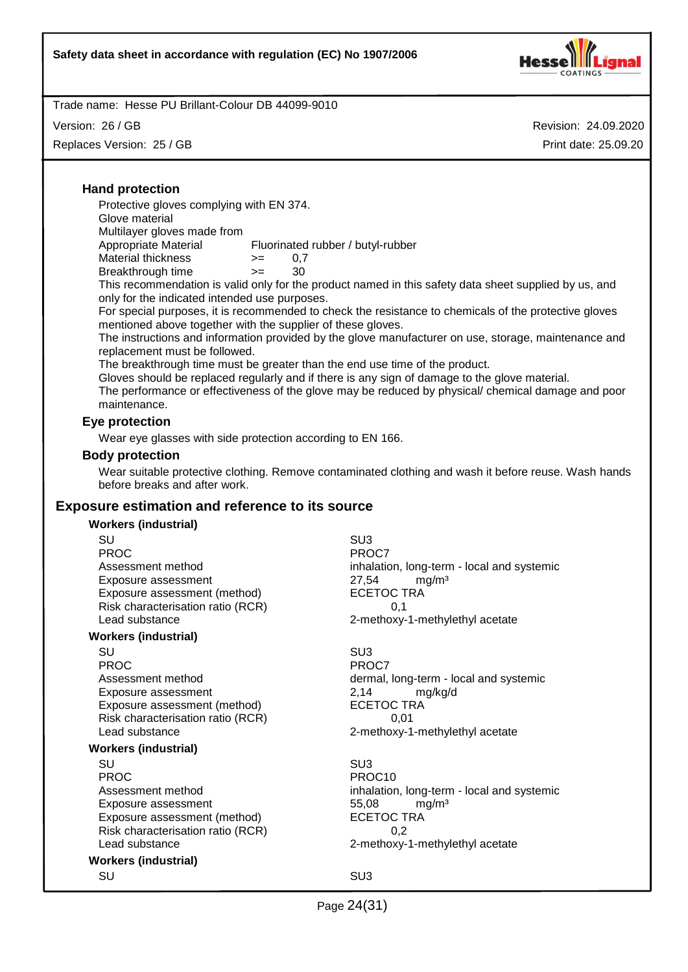

Trade name: Hesse PU Brillant-Colour DB 44099-9010

Version: 26 / GB

Replaces Version: 25 / GB

Revision: 24.09.2020 Print date: 25.09.20

## **Hand protection**

Protective gloves complying with EN 374.

Glove material

Multilayer gloves made from Appropriate Material Fluorinated rubber / butyl-rubber

Material thickness  $> = 0.7$ 

Breakthrough time >= 30

This recommendation is valid only for the product named in this safety data sheet supplied by us, and only for the indicated intended use purposes.

For special purposes, it is recommended to check the resistance to chemicals of the protective gloves mentioned above together with the supplier of these gloves.

The instructions and information provided by the glove manufacturer on use, storage, maintenance and replacement must be followed.

The breakthrough time must be greater than the end use time of the product.

Gloves should be replaced regularly and if there is any sign of damage to the glove material.

The performance or effectiveness of the glove may be reduced by physical/ chemical damage and poor maintenance.

#### **Eye protection**

Wear eye glasses with side protection according to EN 166.

#### **Body protection**

Wear suitable protective clothing. Remove contaminated clothing and wash it before reuse. Wash hands before breaks and after work.

#### **Exposure estimation and reference to its source**

#### **Workers (industrial)**

| SU                                | SU <sub>3</sub>                            |
|-----------------------------------|--------------------------------------------|
| <b>PROC</b>                       | PROC7                                      |
| Assessment method                 | inhalation, long-term - local and systemic |
| Exposure assessment               | 27,54<br>mg/m <sup>3</sup>                 |
| Exposure assessment (method)      | <b>ECETOC TRA</b>                          |
| Risk characterisation ratio (RCR) | 0,1                                        |
| Lead substance                    | 2-methoxy-1-methylethyl acetate            |
| <b>Workers (industrial)</b>       |                                            |
| SU                                | SU <sub>3</sub>                            |
| <b>PROC</b>                       | PROC7                                      |
| Assessment method                 | dermal, long-term - local and systemic     |
| Exposure assessment               | 2,14<br>mg/kg/d                            |
| Exposure assessment (method)      | <b>ECETOC TRA</b>                          |
| Risk characterisation ratio (RCR) | 0,01                                       |
| Lead substance                    | 2-methoxy-1-methylethyl acetate            |
| <b>Workers (industrial)</b>       |                                            |
| SU                                | SU <sub>3</sub>                            |
| <b>PROC</b>                       | PROC <sub>10</sub>                         |
| Assessment method                 | inhalation, long-term - local and systemic |
| Exposure assessment               | 55,08<br>mg/m <sup>3</sup>                 |
| Exposure assessment (method)      | <b>ECETOC TRA</b>                          |
| Risk characterisation ratio (RCR) | 0,2                                        |
| Lead substance                    | 2-methoxy-1-methylethyl acetate            |
| <b>Workers (industrial)</b>       |                                            |
| SU                                | SU <sub>3</sub>                            |
|                                   |                                            |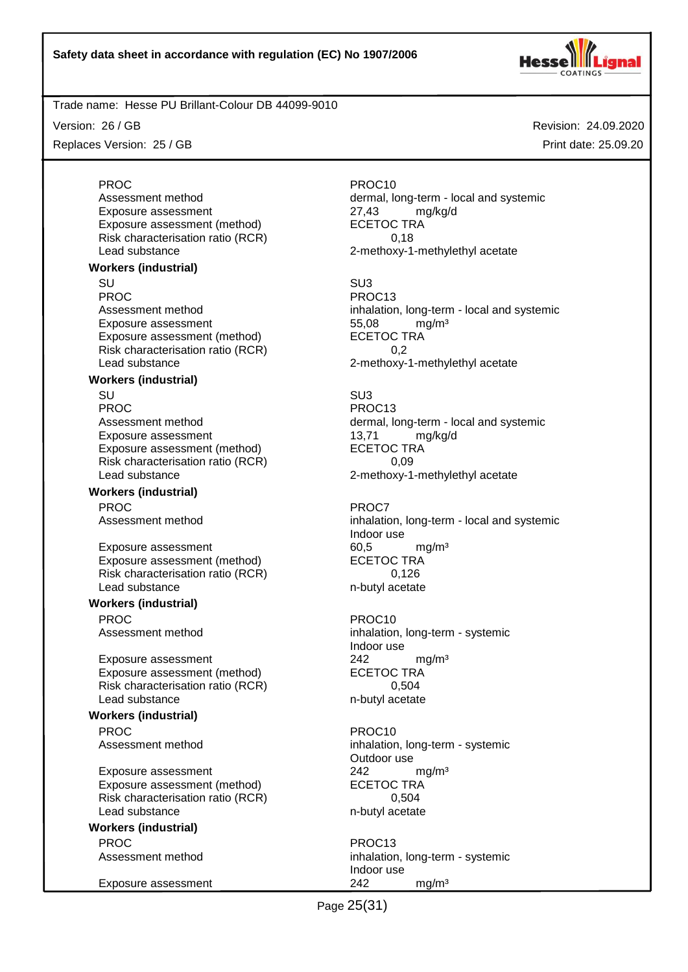

Exposure assessment (method)

Version: 26 / GB

Replaces Version: 25 / GB

**Workers (industrial)**

PROC PROCTER PROCTER PROCTER PROCTER PROCTER PROCTER PROCTER PROCTER PROCTER PROCTER PROCTER PROCTER PROCTER PROCTER PROCTER PROCTER PROCTER PROCTER PROCTER PROCTER PROCTER PROCTER PROCTER PROCTER PROCTER PROCTER PROCTER P Assessment method dermal, long-term - local and systemic Exposure assessment <br>
Exposure assessment (method) 
ECETOC TRA Risk characterisation ratio (RCR) 6.18 Lead substance **2-methoxy-1-methylethyl** acetate

SU SU3 PROC PROC13 Assessment method inhalation, long-term - local and systemic

Indoor use

Indoor use

Outdoor use

Indoor use

Revision: 24.09.2020 Print date: 25.09.20

# Exposure assessment and the three states of the S5,08 mg/m<sup>3</sup><br>Exposure assessment (method) exposure the SCETOC TRA Exposure assessment (method) Risk characterisation ratio (RCR) 0,2 Lead substance 2-methoxy-1-methylethyl acetate **Workers (industrial)** SU SU3 PROC PROC13 Assessment method dermal, long-term - local and systemic Exposure assessment details and the top of the typosure assessment (method) and the typosure and the typosure  $\frac{13}{71}$  mg/kg/d Exposure assessment (method) Risk characterisation ratio (RCR) 0,09 Lead substance example 2-methoxy-1-methylethyl acetate **Workers (industrial)** PROC PROCT PROCT PROCT Assessment method inhalation, long-term - local and systemic Exposure assessment 60,5 mg/m<sup>3</sup> Exposure assessment (method) ECETOC TRA Risk characterisation ratio (RCR) 0,126<br>Lead substance m-butyl acetate Lead substance **Workers (industrial)** PROC PROC10 Assessment method inhalation, long-term - systemic Exposure assessment <br>
Exposure assessment (method) 
<br>
ECETOC TRA Exposure assessment (method) Risk characterisation ratio (RCR) 0,504 Lead substance n-butyl acetate **Workers (industrial)** PROC PROCTES PROCTES PROCTES PROCTES Assessment method inhalation, long-term - systemic Exposure assessment <br>
Exposure assessment (method) 
<br>
ECETOC TRA Exposure assessment (method) Risk characterisation ratio (RCR) 0,504 Lead substance n-butyl acetate **Workers (industrial)** PROC PROC13 Assessment method inhalation, long-term - systemic Exposure assessment 242 mg/m<sup>3</sup>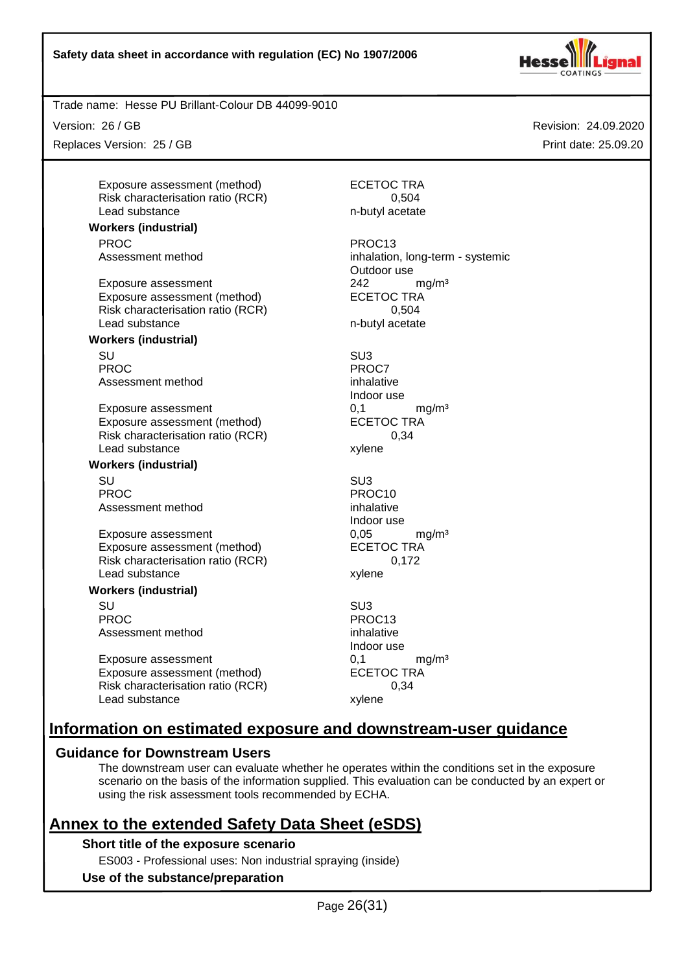

Trade name: Hesse PU Brillant-Colour DB 44099-9010

Version: 26 / GB

Replaces Version: 25 / GB

Exposure assessment (method) ECETOC TRA Risk characterisation ratio (RCR) 0.504 Lead substance n-butyl acetate

**Workers (industrial)** PROC PROC13

Exposure assessment <br>
Exposure assessment (method) 
<br>
ECETOC TRA Exposure assessment (method) Risk characterisation ratio (RCR) 0,504 Lead substance n-butyl acetate

#### **Workers (industrial)**

SU SU3 PROC<sup>PROC</sup> PROCT Assessment method inhalative

Exposure assessment 0,1 mg/m<sup>3</sup> Exposure assessment (method) ECETOC TRA Risk characterisation ratio (RCR) 0,34 Lead substance xylene

# **Workers (industrial)**

SU SU3 PROC PROC10 Assessment method inhalative

Exposure assessment 6,05 mg/m<sup>3</sup> Exposure assessment (method) ECETOC TRA Risk characterisation ratio (RCR) 0,172 Lead substance xylene

#### **Workers (industrial)**

SU SU3 PROC PROC13 Assessment method inhalative

Exposure assessment determined by the control of the match of the match manner of the match of the ECETOC TRA match of the match of the match of the match of the match of the match of the match of the match of the match of Exposure assessment (method) Risk characterisation ratio (RCR) 0,34 Lead substance xylene

Assessment method inhalation, long-term - systemic Outdoor use

Indoor use

Indoor use

Indoor use

# **Information on estimated exposure and downstream-user guidance**

# **Guidance for Downstream Users**

The downstream user can evaluate whether he operates within the conditions set in the exposure scenario on the basis of the information supplied. This evaluation can be conducted by an expert or using the risk assessment tools recommended by ECHA.

# **Annex to the extended Safety Data Sheet (eSDS)**

#### **Short title of the exposure scenario**

ES003 - Professional uses: Non industrial spraying (inside)

# **Use of the substance/preparation**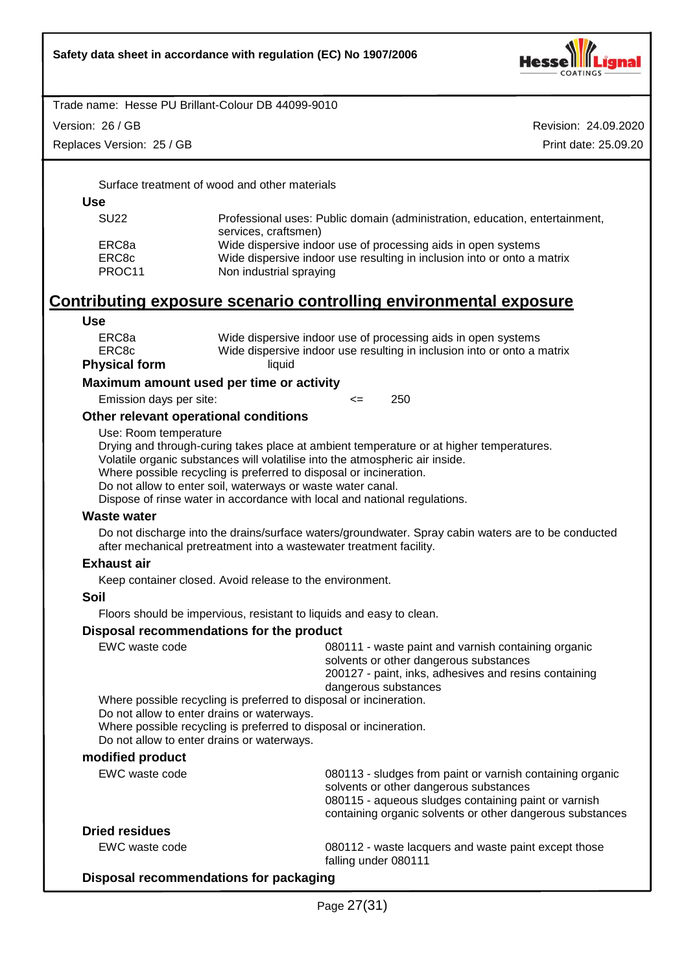

Version: 26 / GB

Replaces Version: 25 / GB

Revision: 24.09.2020 Print date: 25.09.20

Surface treatment of wood and other materials

**Use**

| <b>SU22</b> | Professional uses: Public domain (administration, education, entertainment,<br>services, craftsmen) |
|-------------|-----------------------------------------------------------------------------------------------------|
| ERC8a       | Wide dispersive indoor use of processing aids in open systems                                       |
| ERC8c       | Wide dispersive indoor use resulting in inclusion into or onto a matrix                             |
| PROC11      | Non industrial spraying                                                                             |

# **Contributing exposure scenario controlling environmental exposure**

**Use**

| ERC8a                | Wide dispersive indoor use of processing aids in open systems           |
|----------------------|-------------------------------------------------------------------------|
| ERC8c                | Wide dispersive indoor use resulting in inclusion into or onto a matrix |
| <b>Physical form</b> | liquid                                                                  |

**Maximum amount used per time or activity**

Emission days per site:  $\leq$  250

#### **Other relevant operational conditions**

Use: Room temperature

Drying and through-curing takes place at ambient temperature or at higher temperatures. Volatile organic substances will volatilise into the atmospheric air inside.

Where possible recycling is preferred to disposal or incineration.

Do not allow to enter soil, waterways or waste water canal.

Dispose of rinse water in accordance with local and national regulations.

#### **Waste water**

Do not discharge into the drains/surface waters/groundwater. Spray cabin waters are to be conducted after mechanical pretreatment into a wastewater treatment facility.

#### **Exhaust air**

Keep container closed. Avoid release to the environment.

#### **Soil**

Floors should be impervious, resistant to liquids and easy to clean.

#### **Disposal recommendations for the product**

| EWC waste code                                                                           | 080111 - waste paint and varnish containing organic<br>solvents or other dangerous substances<br>200127 - paint, inks, adhesives and resins containing<br>dangerous substances                                           |
|------------------------------------------------------------------------------------------|--------------------------------------------------------------------------------------------------------------------------------------------------------------------------------------------------------------------------|
|                                                                                          | Where possible recycling is preferred to disposal or incineration.                                                                                                                                                       |
| Do not allow to enter drains or waterways.<br>Do not allow to enter drains or waterways. | Where possible recycling is preferred to disposal or incineration.                                                                                                                                                       |
| modified product                                                                         |                                                                                                                                                                                                                          |
| EWC waste code                                                                           | 080113 - sludges from paint or varnish containing organic<br>solvents or other dangerous substances<br>080115 - aqueous sludges containing paint or varnish<br>containing organic solvents or other dangerous substances |

#### **Dried residues**

EWC waste code 080112 - waste lacquers and waste paint except those falling under 080111

#### **Disposal recommendations for packaging**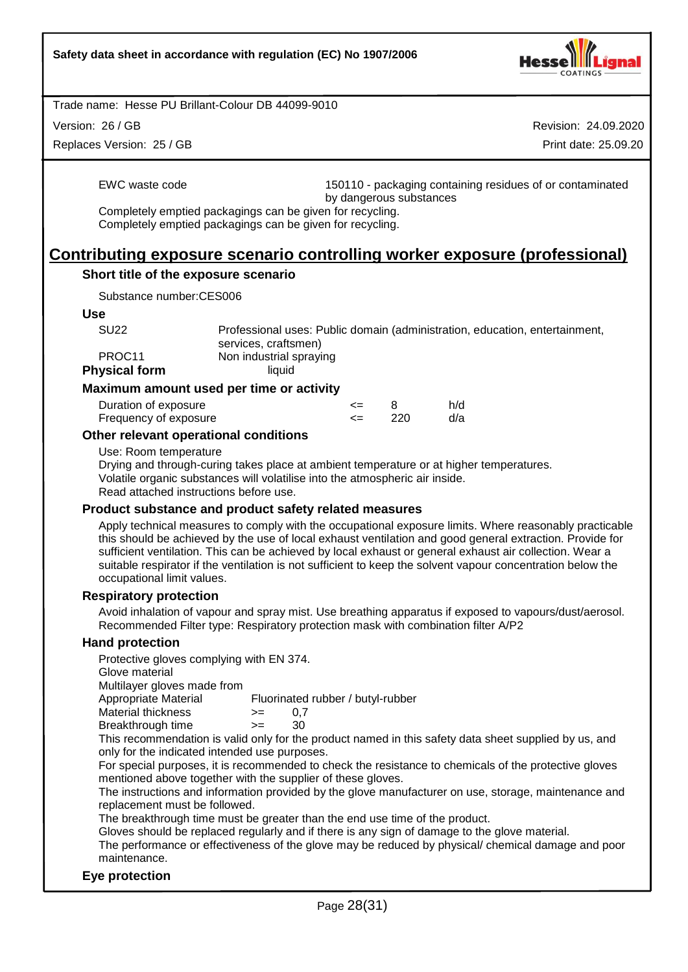

Version: 26 / GB

Replaces Version: 25 / GB

Revision: 24.09.2020 Print date: 25.09.20

EWC waste code 150110 - packaging containing residues of or contaminated by dangerous substances

Completely emptied packagings can be given for recycling. Completely emptied packagings can be given for recycling.

# **Contributing exposure scenario controlling worker exposure (professional)**

#### **Short title of the exposure scenario**

Substance number:CES006

#### **Use**

| SU <sub>22</sub>     | Professional uses: Public domain (administration, education, entertainment, |
|----------------------|-----------------------------------------------------------------------------|
|                      | services, craftsmen)                                                        |
| PROC11               | Non industrial spraying                                                     |
| <b>Physical form</b> | liauid                                                                      |

#### **Maximum amount used per time or activity**

| Duration of exposure  | <= |      | h/d |
|-----------------------|----|------|-----|
| Frequency of exposure | <= | -220 | d/a |

#### **Other relevant operational conditions**

Use: Room temperature

Drying and through-curing takes place at ambient temperature or at higher temperatures. Volatile organic substances will volatilise into the atmospheric air inside. Read attached instructions before use.

#### **Product substance and product safety related measures**

Apply technical measures to comply with the occupational exposure limits. Where reasonably practicable this should be achieved by the use of local exhaust ventilation and good general extraction. Provide for sufficient ventilation. This can be achieved by local exhaust or general exhaust air collection. Wear a suitable respirator if the ventilation is not sufficient to keep the solvent vapour concentration below the occupational limit values.

#### **Respiratory protection**

Avoid inhalation of vapour and spray mist. Use breathing apparatus if exposed to vapours/dust/aerosol. Recommended Filter type: Respiratory protection mask with combination filter A/P2

#### **Hand protection**

Protective gloves complying with EN 374.

Glove material

Multilayer gloves made from

Appropriate Material Fluorinated rubber / butyl-rubber

| Material thickness | >= | 0.7 |
|--------------------|----|-----|
| Breakthrough time  | >= | 30  |

This recommendation is valid only for the product named in this safety data sheet supplied by us, and only for the indicated intended use purposes.

For special purposes, it is recommended to check the resistance to chemicals of the protective gloves mentioned above together with the supplier of these gloves.

The instructions and information provided by the glove manufacturer on use, storage, maintenance and replacement must be followed.

The breakthrough time must be greater than the end use time of the product.

Gloves should be replaced regularly and if there is any sign of damage to the glove material.

The performance or effectiveness of the glove may be reduced by physical/ chemical damage and poor maintenance.

#### **Eye protection**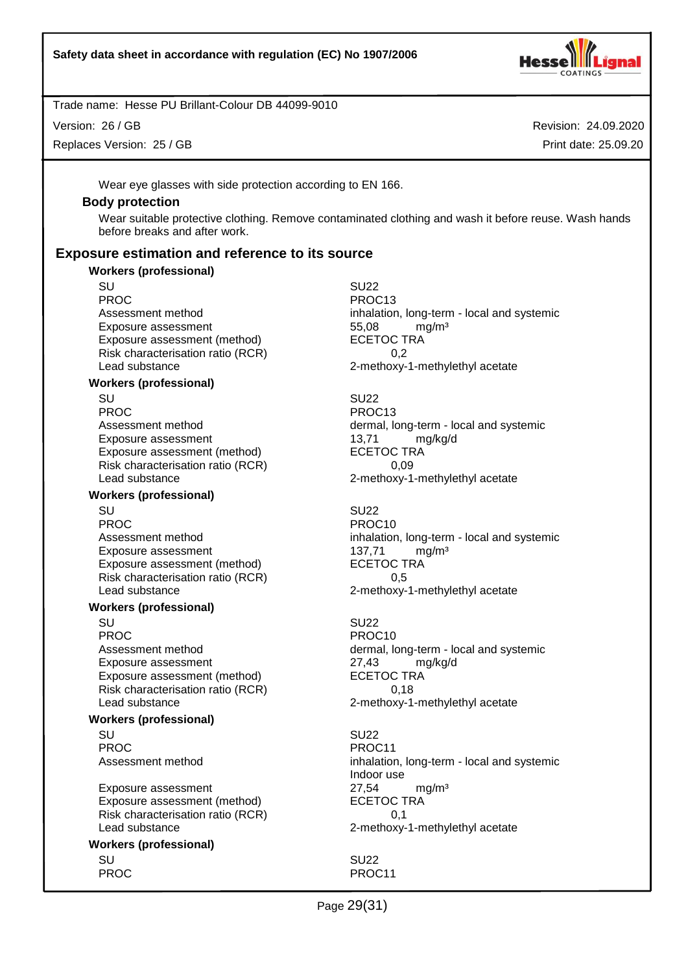

Version: 26 / GB

Replaces Version: 25 / GB

Revision: 24.09.2020 Print date: 25.09.20

Wear eye glasses with side protection according to EN 166.

#### **Body protection**

Wear suitable protective clothing. Remove contaminated clothing and wash it before reuse. Wash hands before breaks and after work.

### **Exposure estimation and reference to its source**

#### **Workers (professional)**

SU SU22 PROC PROC13 Exposure assessment 55,08 mg/m<sup>3</sup> Exposure assessment (method) ECETOC TRA Risk characterisation ratio (RCR) 0,2 Lead substance 2-methoxy-1-methylethyl acetate

#### **Workers (professional)**

SU SU22 PROC PROC13 Exposure assessment determined the manuform of the texposure assessment (method) and the texposure and texposure and texposure and texposure and texposure and texposure and texposure and texposure and texposure and texposu Exposure assessment (method) Risk characterisation ratio (RCR) 0,09 Lead substance example 2-methoxy-1-methylethyl acetate

#### **Workers (professional)**

PROC PROCTER PROCTER PROCTER PROCTER PROCTER PROCTER PROCTER PROCTER PROCTER PROCTER PROCTER PROCTER PROCTER PROCTER PROCTER PROCTER PROCTER PROCTER PROCTER PROCTER PROCTER PROCTER PROCTER PROCTER PROCTER PROCTER PROCTER P Exposure assessment 137,71 mg/m<sup>3</sup> Exposure assessment (method) ECETOC TRA Risk characterisation ratio (RCR) 0,5 Lead substance **2-methoxy-1-methylethyl** acetate

#### **Workers (professional)**

SU SU22 PROC PROC10 Exposure assessment<br>
Exposure assessment (method) exposure assessment (method) exposure assessment (method) Exposure assessment (method) Risk characterisation ratio (RCR) 0,18 Lead substance 2-methoxy-1-methylethyl acetate

#### **Workers (professional)**

SU SU22 PROC PROC11

Exposure assessment <br>
Exposure assessment (method) 
ECETOC TRA Exposure assessment (method) Risk characterisation ratio (RCR) 0,1 Lead substance **2-methoxy-1-methylethyl** acetate

# **Workers (professional)**

Assessment method inhalation, long-term - local and systemic

Assessment method dermal, long-term - local and systemic

SU SU22 Assessment method inhalation, long-term - local and systemic

Assessment method dermal, long-term - local and systemic

Assessment method inhalation, long-term - local and systemic Indoor use

SU SU22 PROC PROCHES PROCHES PROCHES PROCHES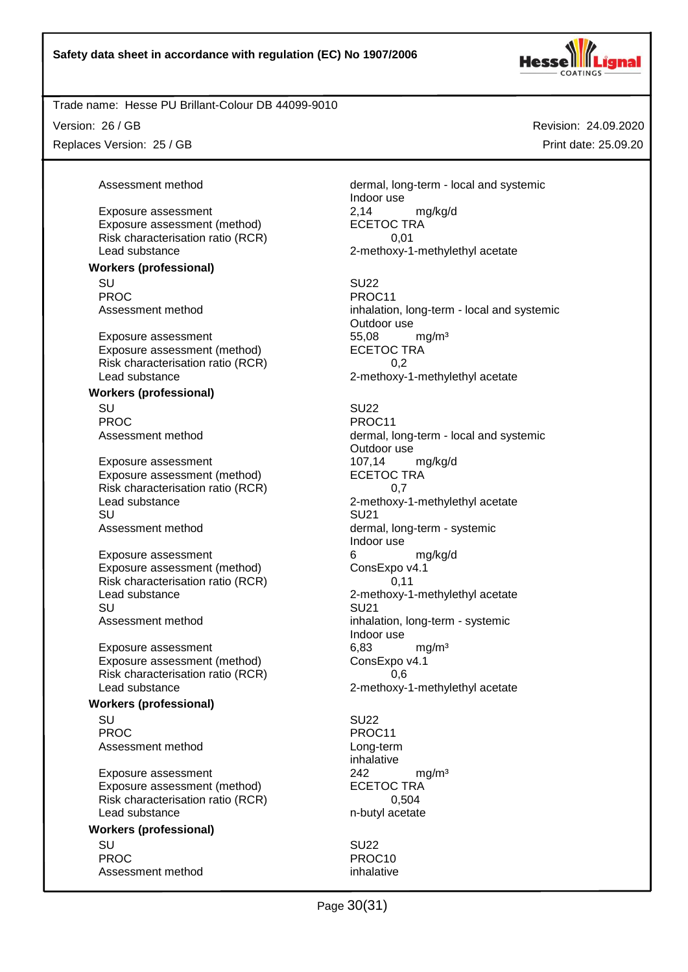

Exposure assessment (method)

Exposure assessment (method)

**Workers (professional)**

**Workers (professional)**

**Workers (professional)**

**Workers (professional)**

Version: 26 / GB

Replaces Version: 25 / GB

Assessment method dermal, long-term - local and systemic Indoor use Exposure assessment <br>
Exposure assessment (method) 
<br>
ECETOC TRA Risk characterisation ratio (RCR) 0.01 Lead substance **2-methoxy-1-methylethyl** acetate

SU SU22 PROC PROCHES PROC11 Assessment method inhalation, long-term - local and systemic Outdoor use Exposure assessment and the three states of the S5,08 mg/m<sup>3</sup><br>Exposure assessment (method) exposure the SCETOC TRA Risk characterisation ratio (RCR) 0,2 Lead substance **2-methoxy-1-methylethyl** acetate

SU SU22 PROC PROC11 Assessment method dermal, long-term - local and systemic Outdoor use Exposure assessment 107,14 mg/kg/d Exposure assessment (method) ECETOC TRA Risk characterisation ratio (RCR) 0,7 Lead substance 2-methoxy-1-methylethyl acetate SU SU21 Assessment method dermal, long-term - systemic Indoor use Exposure assessment 6 and 6 mg/kg/d Exposure assessment (method) ConsExpo v4.1 Risk characterisation ratio (RCR) 0,11 Lead substance **2-methoxy-1-methylethyl acetate** 2-methoxy-1-methylethyl acetate SU SU21 Assessment method inhalation, long-term - systemic Indoor use Exposure assessment 6,83 mg/m<sup>3</sup> Exposure assessment (method) ConsExpo v4.1 Risk characterisation ratio (RCR) 0,6 Lead substance **2-methoxy-1-methylethyl** acetate

SU SU22 PROC PROC11 Assessment method Long-term inhalative Exposure assessment and the control of the 242 mg/m<sup>3</sup> Exposure assessment (method) ECETOC TRA Risk characterisation ratio (RCR) 0,504 Lead substance n-butyl acetate

SU SU22 PROC PROCTER PROCTER PROCTER PROCTER PROCTER PROCTER PROCTER PROCTER PROCTER PROCTER PROCTER PROCTER PROCTER P Assessment method inhalative